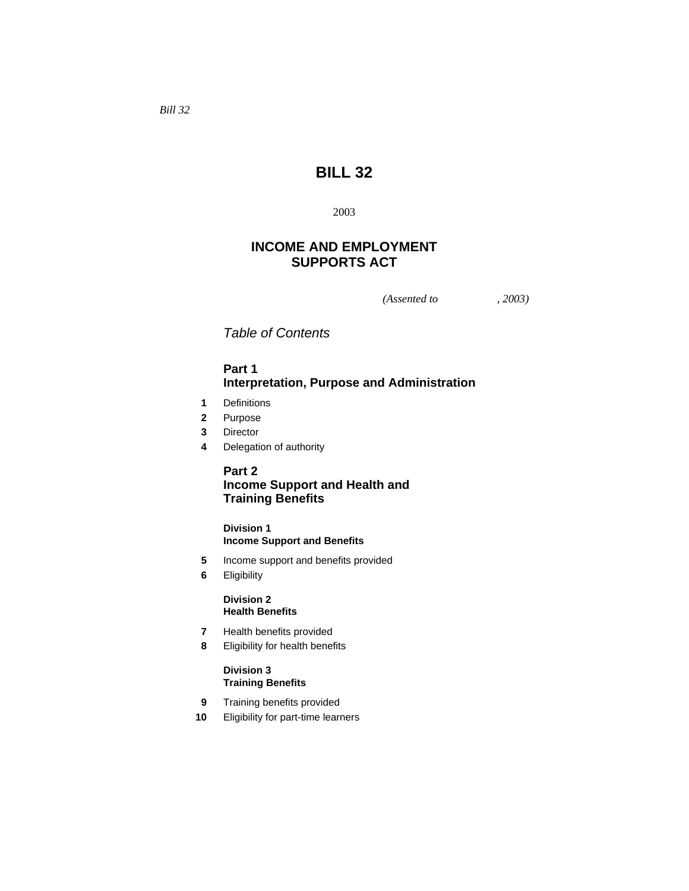# **BILL 32**

2003

# **INCOME AND EMPLOYMENT SUPPORTS ACT**

*(Assented to , 2003)* 

*Table of Contents* 

## **Part 1 Interpretation, Purpose and Administration**

- **1** Definitions
- **2** Purpose
- **3** Director
- **4** Delegation of authority

# **Part 2 Income Support and Health and Training Benefits**

## **Division 1 Income Support and Benefits**

- **5** Income support and benefits provided
- **6** Eligibility

## **Division 2 Health Benefits**

- **7** Health benefits provided
- **8** Eligibility for health benefits

## **Division 3 Training Benefits**

- **9** Training benefits provided
- **10** Eligibility for part-time learners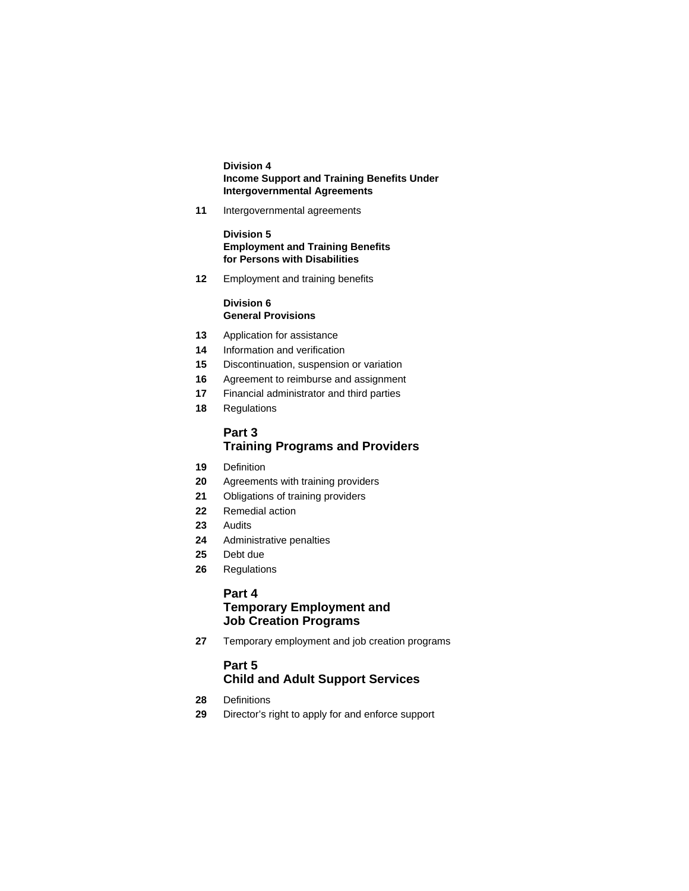### **Division 4 Income Support and Training Benefits Under Intergovernmental Agreements**

**11** Intergovernmental agreements

**Division 5 Employment and Training Benefits for Persons with Disabilities** 

**12** Employment and training benefits

## **Division 6 General Provisions**

- **13** Application for assistance
- **14** Information and verification
- **15** Discontinuation, suspension or variation
- **16** Agreement to reimburse and assignment
- **17** Financial administrator and third parties
- **18** Regulations

## **Part 3 Training Programs and Providers**

- **19** Definition
- **20** Agreements with training providers
- **21** Obligations of training providers
- **22** Remedial action
- **23** Audits
- **24** Administrative penalties
- **25** Debt due
- **26** Regulations

## **Part 4**

# **Temporary Employment and Job Creation Programs**

**27** Temporary employment and job creation programs

## **Part 5 Child and Adult Support Services**

- **28** Definitions
- **29** Director's right to apply for and enforce support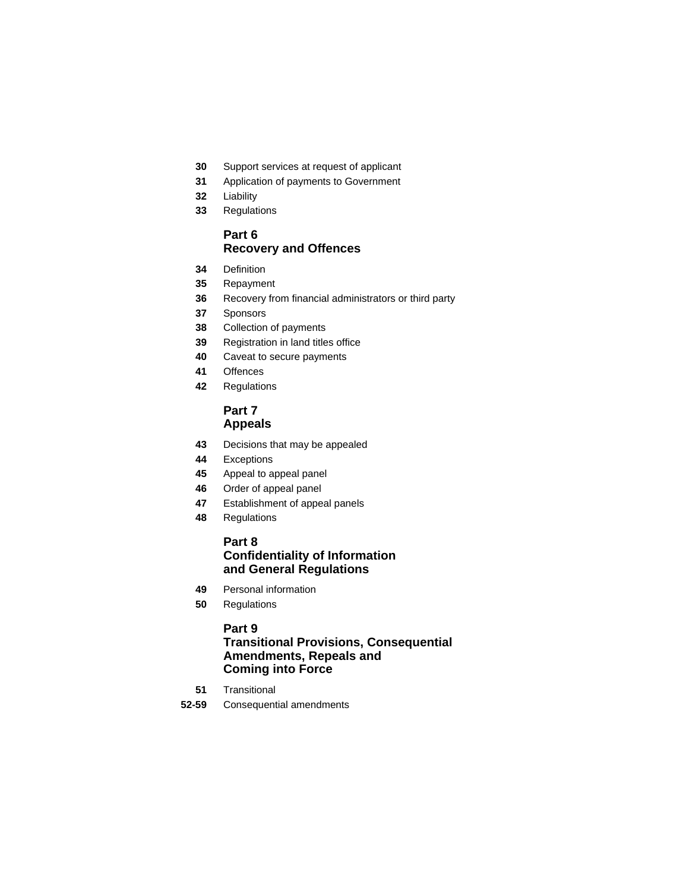- Support services at request of applicant
- Application of payments to Government
- Liability
- Regulations

## **Part 6 Recovery and Offences**

- Definition
- Repayment
- Recovery from financial administrators or third party
- Sponsors
- Collection of payments
- Registration in land titles office
- Caveat to secure payments
- Offences
- Regulations

## **Part 7 Appeals**

- Decisions that may be appealed
- Exceptions
- Appeal to appeal panel
- Order of appeal panel
- Establishment of appeal panels
- Regulations

## **Part 8 Confidentiality of Information and General Regulations**

- Personal information
- Regulations

## **Part 9**

## **Transitional Provisions, Consequential Amendments, Repeals and Coming into Force**

- Transitional
- **52-59** Consequential amendments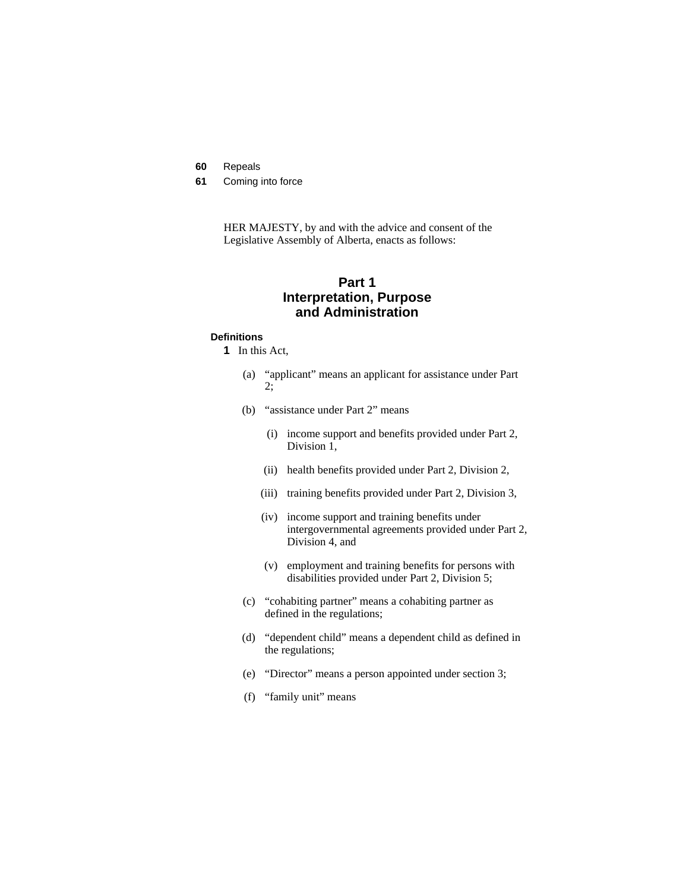- **60** Repeals
- **61** Coming into force

HER MAJESTY, by and with the advice and consent of the Legislative Assembly of Alberta, enacts as follows:

## **Part 1 Interpretation, Purpose and Administration**

### **Definitions**

- **1** In this Act,
	- (a) "applicant" means an applicant for assistance under Part 2;
	- (b) "assistance under Part 2" means
		- (i) income support and benefits provided under Part 2, Division 1,
		- (ii) health benefits provided under Part 2, Division 2,
		- (iii) training benefits provided under Part 2, Division 3,
		- (iv) income support and training benefits under intergovernmental agreements provided under Part 2, Division 4, and
		- (v) employment and training benefits for persons with disabilities provided under Part 2, Division 5;
	- (c) "cohabiting partner" means a cohabiting partner as defined in the regulations;
	- (d) "dependent child" means a dependent child as defined in the regulations;
	- (e) "Director" means a person appointed under section 3;
	- (f) "family unit" means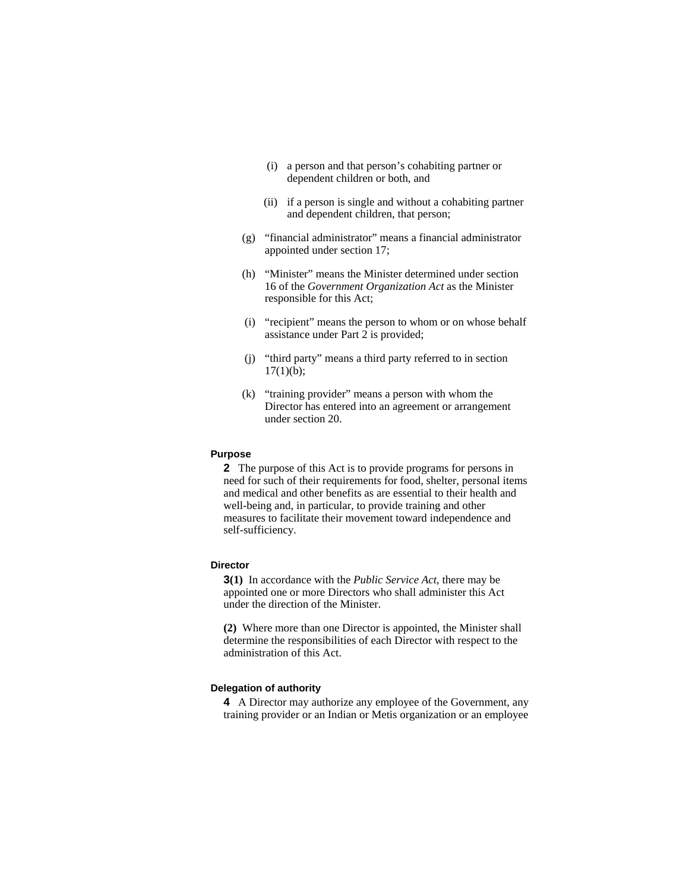- (i) a person and that person's cohabiting partner or dependent children or both, and
- (ii) if a person is single and without a cohabiting partner and dependent children, that person;
- (g) "financial administrator" means a financial administrator appointed under section 17;
- (h) "Minister" means the Minister determined under section 16 of the *Government Organization Act* as the Minister responsible for this Act;
- (i) "recipient" means the person to whom or on whose behalf assistance under Part 2 is provided;
- (j) "third party" means a third party referred to in section  $17(1)(b)$ ;
- (k) "training provider" means a person with whom the Director has entered into an agreement or arrangement under section 20.

### **Purpose**

**2** The purpose of this Act is to provide programs for persons in need for such of their requirements for food, shelter, personal items and medical and other benefits as are essential to their health and well-being and, in particular, to provide training and other measures to facilitate their movement toward independence and self-sufficiency.

#### **Director**

**3(1)** In accordance with the *Public Service Act*, there may be appointed one or more Directors who shall administer this Act under the direction of the Minister.

**(2)** Where more than one Director is appointed, the Minister shall determine the responsibilities of each Director with respect to the administration of this Act.

#### **Delegation of authority**

**4** A Director may authorize any employee of the Government, any training provider or an Indian or Metis organization or an employee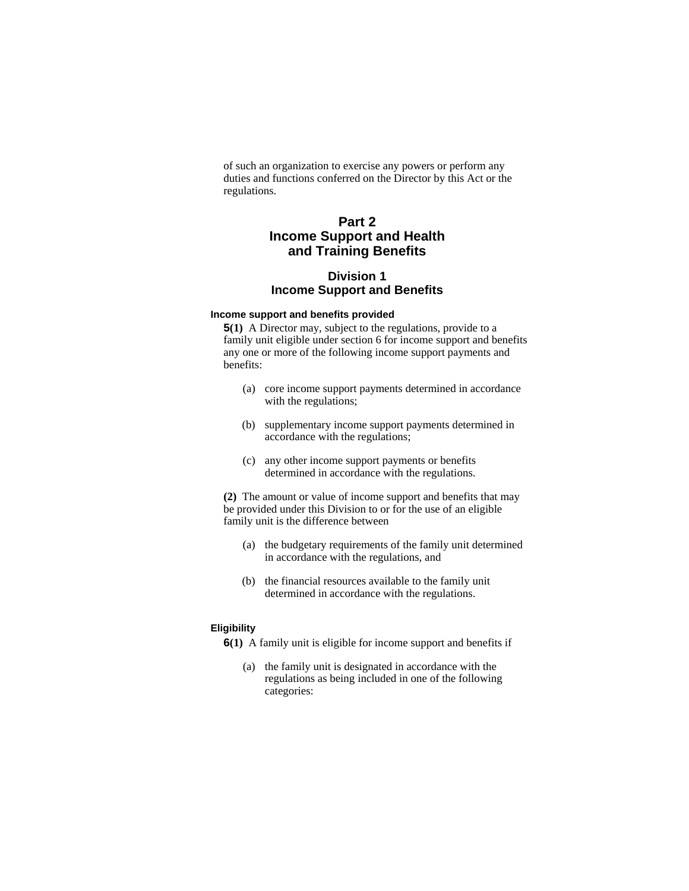of such an organization to exercise any powers or perform any duties and functions conferred on the Director by this Act or the regulations.

# **Part 2 Income Support and Health and Training Benefits**

## **Division 1 Income Support and Benefits**

## **Income support and benefits provided**

**5(1)** A Director may, subject to the regulations, provide to a family unit eligible under section 6 for income support and benefits any one or more of the following income support payments and benefits:

- (a) core income support payments determined in accordance with the regulations;
- (b) supplementary income support payments determined in accordance with the regulations;
- (c) any other income support payments or benefits determined in accordance with the regulations.

**(2)** The amount or value of income support and benefits that may be provided under this Division to or for the use of an eligible family unit is the difference between

- (a) the budgetary requirements of the family unit determined in accordance with the regulations, and
- (b) the financial resources available to the family unit determined in accordance with the regulations.

#### **Eligibility**

**6(1)** A family unit is eligible for income support and benefits if

 (a) the family unit is designated in accordance with the regulations as being included in one of the following categories: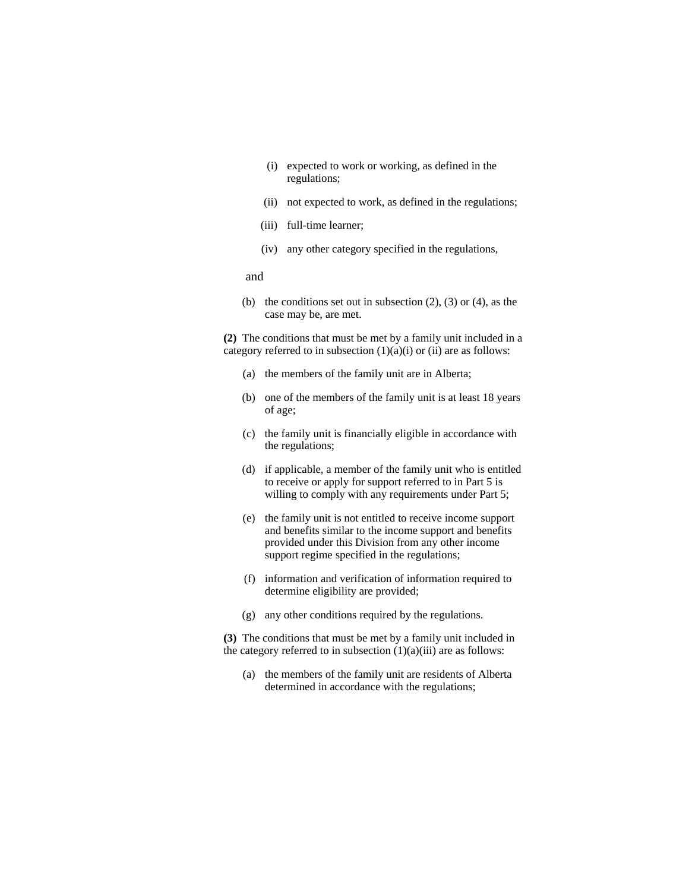- (i) expected to work or working, as defined in the regulations;
- (ii) not expected to work, as defined in the regulations;
- (iii) full-time learner;
- (iv) any other category specified in the regulations,

and

(b) the conditions set out in subsection  $(2)$ ,  $(3)$  or  $(4)$ , as the case may be, are met.

**(2)** The conditions that must be met by a family unit included in a category referred to in subsection  $(1)(a)(i)$  or  $(ii)$  are as follows:

- (a) the members of the family unit are in Alberta;
- (b) one of the members of the family unit is at least 18 years of age;
- (c) the family unit is financially eligible in accordance with the regulations;
- (d) if applicable, a member of the family unit who is entitled to receive or apply for support referred to in Part 5 is willing to comply with any requirements under Part 5;
- (e) the family unit is not entitled to receive income support and benefits similar to the income support and benefits provided under this Division from any other income support regime specified in the regulations;
- (f) information and verification of information required to determine eligibility are provided;
- (g) any other conditions required by the regulations.

**(3)** The conditions that must be met by a family unit included in the category referred to in subsection  $(1)(a)(iii)$  are as follows:

(a) the members of the family unit are residents of Alberta determined in accordance with the regulations;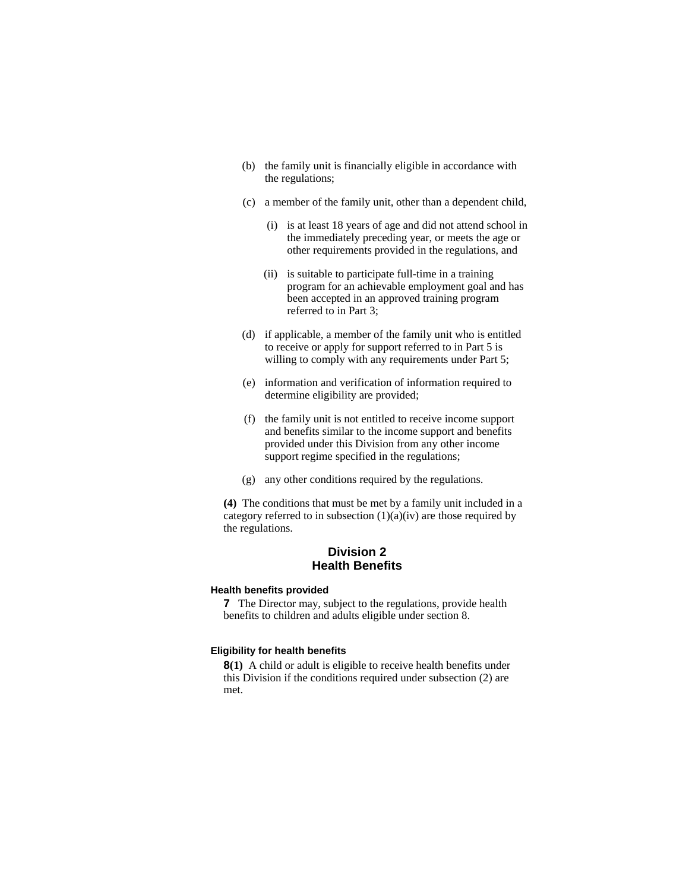- (b) the family unit is financially eligible in accordance with the regulations;
- (c) a member of the family unit, other than a dependent child,
	- (i) is at least 18 years of age and did not attend school in the immediately preceding year, or meets the age or other requirements provided in the regulations, and
	- (ii) is suitable to participate full-time in a training program for an achievable employment goal and has been accepted in an approved training program referred to in Part 3;
- (d) if applicable, a member of the family unit who is entitled to receive or apply for support referred to in Part 5 is willing to comply with any requirements under Part 5;
- (e) information and verification of information required to determine eligibility are provided;
- (f) the family unit is not entitled to receive income support and benefits similar to the income support and benefits provided under this Division from any other income support regime specified in the regulations;
- (g) any other conditions required by the regulations.

**(4)** The conditions that must be met by a family unit included in a category referred to in subsection  $(1)(a)(iv)$  are those required by the regulations.

## **Division 2 Health Benefits**

#### **Health benefits provided**

**7** The Director may, subject to the regulations, provide health benefits to children and adults eligible under section 8.

### **Eligibility for health benefits**

**8(1)** A child or adult is eligible to receive health benefits under this Division if the conditions required under subsection (2) are met.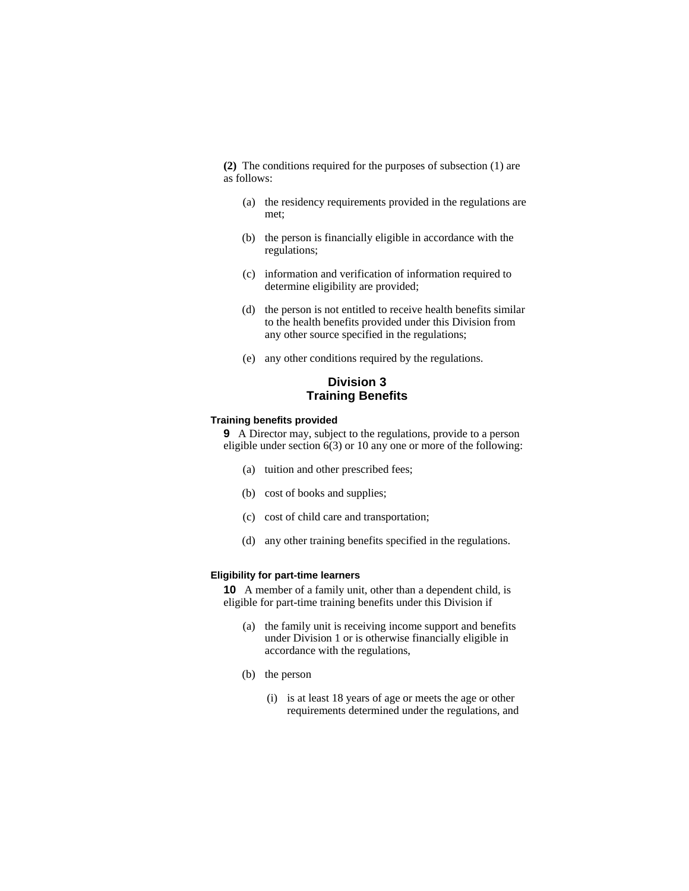**(2)** The conditions required for the purposes of subsection (1) are as follows:

- (a) the residency requirements provided in the regulations are met;
- (b) the person is financially eligible in accordance with the regulations;
- (c) information and verification of information required to determine eligibility are provided;
- (d) the person is not entitled to receive health benefits similar to the health benefits provided under this Division from any other source specified in the regulations;
- (e) any other conditions required by the regulations.

## **Division 3 Training Benefits**

### **Training benefits provided**

**9** A Director may, subject to the regulations, provide to a person eligible under section 6(3) or 10 any one or more of the following:

- (a) tuition and other prescribed fees;
- (b) cost of books and supplies;
- (c) cost of child care and transportation;
- (d) any other training benefits specified in the regulations.

### **Eligibility for part-time learners**

**10** A member of a family unit, other than a dependent child, is eligible for part-time training benefits under this Division if

- (a) the family unit is receiving income support and benefits under Division 1 or is otherwise financially eligible in accordance with the regulations,
- (b) the person
	- (i) is at least 18 years of age or meets the age or other requirements determined under the regulations, and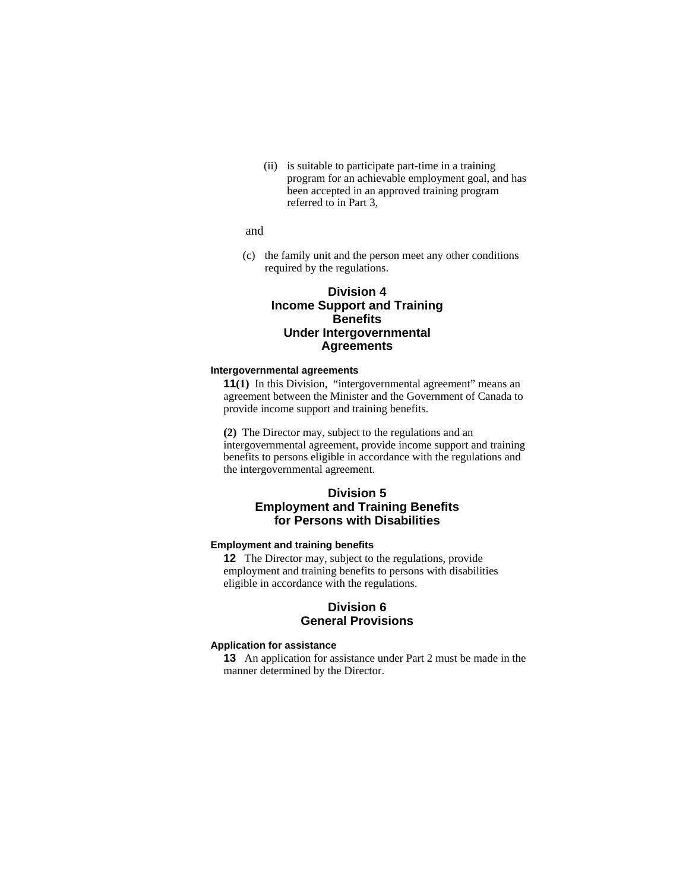(ii) is suitable to participate part-time in a training program for an achievable employment goal, and has been accepted in an approved training program referred to in Part 3,

```
 and
```
(c) the family unit and the person meet any other conditions required by the regulations.

## **Division 4 Income Support and Training Benefits Under Intergovernmental Agreements**

### **Intergovernmental agreements**

**11**(1) In this Division, "intergovernmental agreement" means an agreement between the Minister and the Government of Canada to provide income support and training benefits.

**(2)** The Director may, subject to the regulations and an intergovernmental agreement, provide income support and training benefits to persons eligible in accordance with the regulations and the intergovernmental agreement.

## **Division 5 Employment and Training Benefits for Persons with Disabilities**

## **Employment and training benefits**

**12** The Director may, subject to the regulations, provide employment and training benefits to persons with disabilities eligible in accordance with the regulations.

## **Division 6 General Provisions**

## **Application for assistance**

**13** An application for assistance under Part 2 must be made in the manner determined by the Director.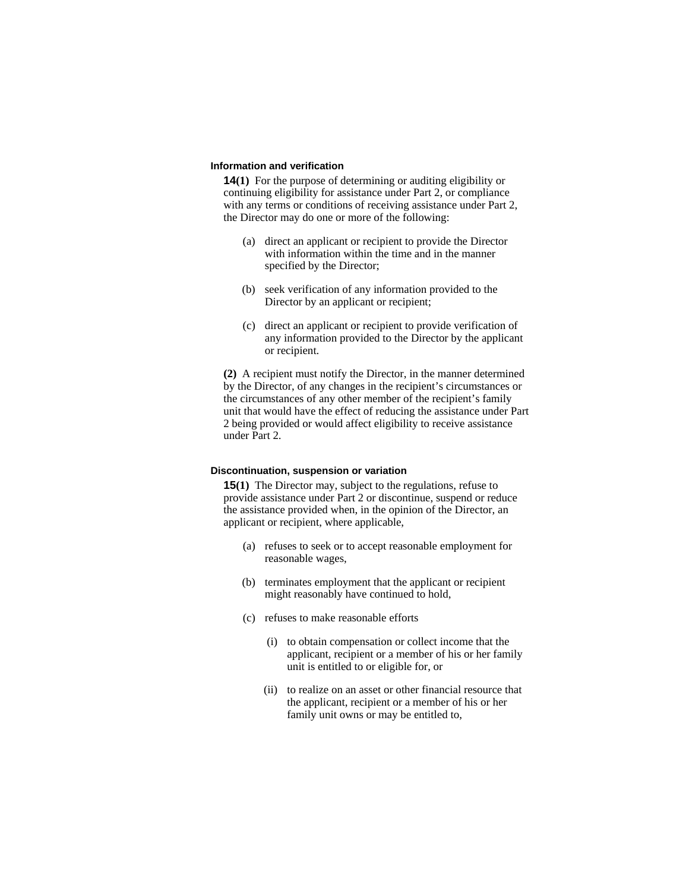#### **Information and verification**

**14(1)** For the purpose of determining or auditing eligibility or continuing eligibility for assistance under Part 2, or compliance with any terms or conditions of receiving assistance under Part 2, the Director may do one or more of the following:

- (a) direct an applicant or recipient to provide the Director with information within the time and in the manner specified by the Director;
- (b) seek verification of any information provided to the Director by an applicant or recipient;
- (c) direct an applicant or recipient to provide verification of any information provided to the Director by the applicant or recipient.

**(2)** A recipient must notify the Director, in the manner determined by the Director, of any changes in the recipient's circumstances or the circumstances of any other member of the recipient's family unit that would have the effect of reducing the assistance under Part 2 being provided or would affect eligibility to receive assistance under Part 2.

## **Discontinuation, suspension or variation**

**15(1)** The Director may, subject to the regulations, refuse to provide assistance under Part 2 or discontinue, suspend or reduce the assistance provided when, in the opinion of the Director, an applicant or recipient, where applicable,

- (a) refuses to seek or to accept reasonable employment for reasonable wages,
- (b) terminates employment that the applicant or recipient might reasonably have continued to hold,
- (c) refuses to make reasonable efforts
	- (i) to obtain compensation or collect income that the applicant, recipient or a member of his or her family unit is entitled to or eligible for, or
	- (ii) to realize on an asset or other financial resource that the applicant, recipient or a member of his or her family unit owns or may be entitled to,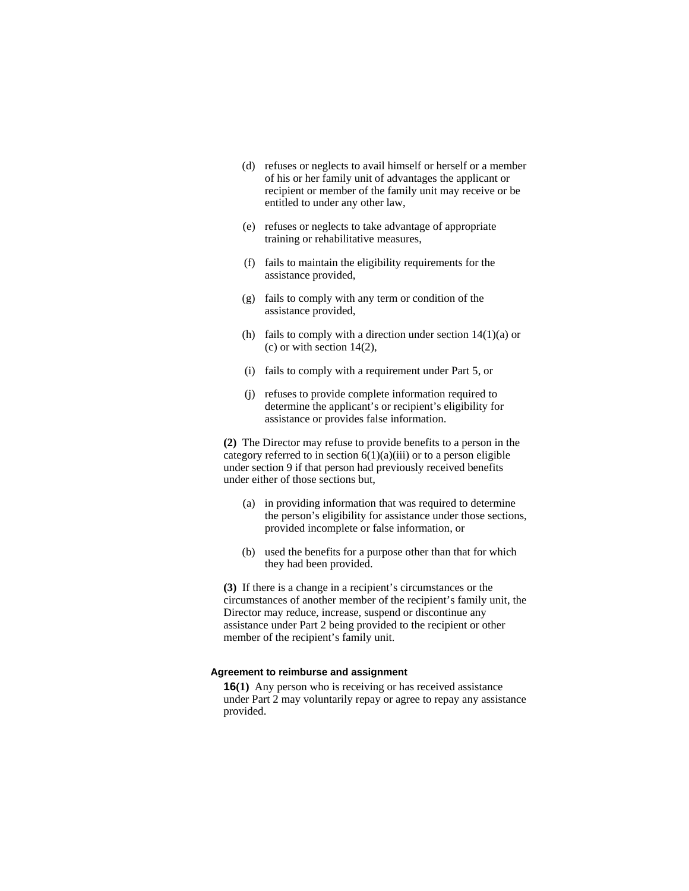- (d) refuses or neglects to avail himself or herself or a member of his or her family unit of advantages the applicant or recipient or member of the family unit may receive or be entitled to under any other law,
- (e) refuses or neglects to take advantage of appropriate training or rehabilitative measures,
- (f) fails to maintain the eligibility requirements for the assistance provided,
- (g) fails to comply with any term or condition of the assistance provided,
- (h) fails to comply with a direction under section  $14(1)(a)$  or (c) or with section 14(2),
- (i) fails to comply with a requirement under Part 5, or
- (j) refuses to provide complete information required to determine the applicant's or recipient's eligibility for assistance or provides false information.

**(2)** The Director may refuse to provide benefits to a person in the category referred to in section  $6(1)(a)(iii)$  or to a person eligible under section 9 if that person had previously received benefits under either of those sections but,

- (a) in providing information that was required to determine the person's eligibility for assistance under those sections, provided incomplete or false information, or
- (b) used the benefits for a purpose other than that for which they had been provided.

**(3)** If there is a change in a recipient's circumstances or the circumstances of another member of the recipient's family unit, the Director may reduce, increase, suspend or discontinue any assistance under Part 2 being provided to the recipient or other member of the recipient's family unit.

#### **Agreement to reimburse and assignment**

**16(1)** Any person who is receiving or has received assistance under Part 2 may voluntarily repay or agree to repay any assistance provided.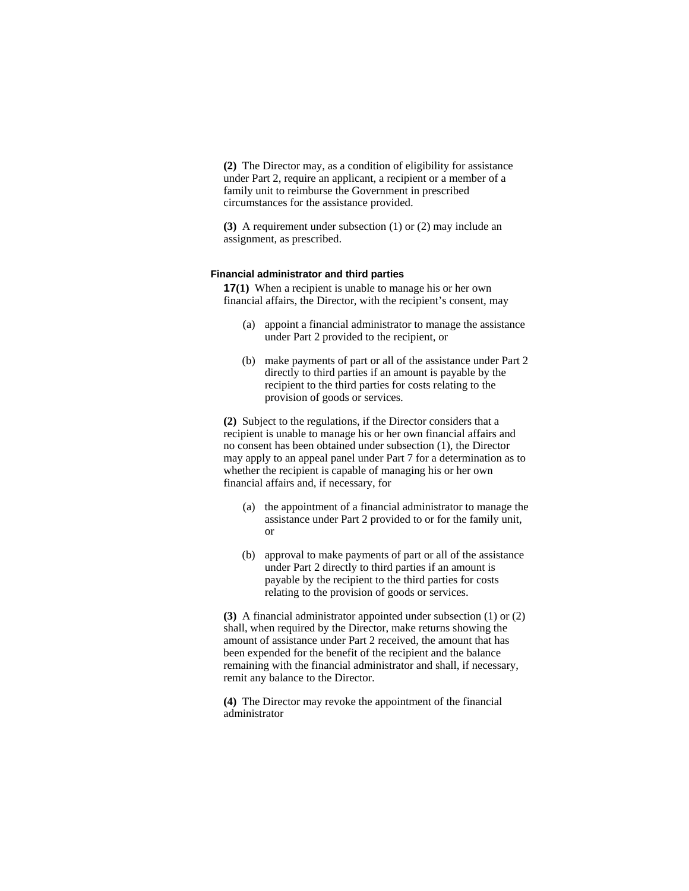**(2)** The Director may, as a condition of eligibility for assistance under Part 2, require an applicant, a recipient or a member of a family unit to reimburse the Government in prescribed circumstances for the assistance provided.

**(3)** A requirement under subsection (1) or (2) may include an assignment, as prescribed.

## **Financial administrator and third parties**

**17(1)** When a recipient is unable to manage his or her own financial affairs, the Director, with the recipient's consent, may

- (a) appoint a financial administrator to manage the assistance under Part 2 provided to the recipient, or
- (b) make payments of part or all of the assistance under Part 2 directly to third parties if an amount is payable by the recipient to the third parties for costs relating to the provision of goods or services.

**(2)** Subject to the regulations, if the Director considers that a recipient is unable to manage his or her own financial affairs and no consent has been obtained under subsection (1), the Director may apply to an appeal panel under Part 7 for a determination as to whether the recipient is capable of managing his or her own financial affairs and, if necessary, for

- (a) the appointment of a financial administrator to manage the assistance under Part 2 provided to or for the family unit, or
- (b) approval to make payments of part or all of the assistance under Part 2 directly to third parties if an amount is payable by the recipient to the third parties for costs relating to the provision of goods or services.

**(3)** A financial administrator appointed under subsection (1) or (2) shall, when required by the Director, make returns showing the amount of assistance under Part 2 received, the amount that has been expended for the benefit of the recipient and the balance remaining with the financial administrator and shall, if necessary, remit any balance to the Director.

**(4)** The Director may revoke the appointment of the financial administrator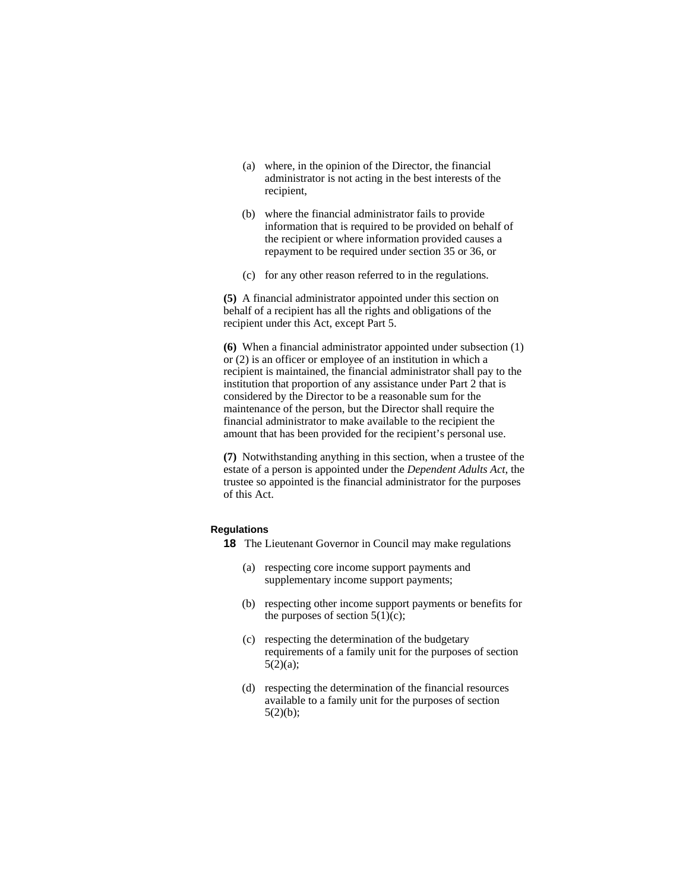- (a) where, in the opinion of the Director, the financial administrator is not acting in the best interests of the recipient,
- (b) where the financial administrator fails to provide information that is required to be provided on behalf of the recipient or where information provided causes a repayment to be required under section 35 or 36, or
- (c) for any other reason referred to in the regulations.

**(5)** A financial administrator appointed under this section on behalf of a recipient has all the rights and obligations of the recipient under this Act, except Part 5.

**(6)** When a financial administrator appointed under subsection (1) or (2) is an officer or employee of an institution in which a recipient is maintained, the financial administrator shall pay to the institution that proportion of any assistance under Part 2 that is considered by the Director to be a reasonable sum for the maintenance of the person, but the Director shall require the financial administrator to make available to the recipient the amount that has been provided for the recipient's personal use.

**(7)** Notwithstanding anything in this section, when a trustee of the estate of a person is appointed under the *Dependent Adults Act*, the trustee so appointed is the financial administrator for the purposes of this Act.

#### **Regulations**

- **18** The Lieutenant Governor in Council may make regulations
	- (a) respecting core income support payments and supplementary income support payments;
	- (b) respecting other income support payments or benefits for the purposes of section  $5(1)(c)$ ;
	- (c) respecting the determination of the budgetary requirements of a family unit for the purposes of section  $5(2)(a);$
	- (d) respecting the determination of the financial resources available to a family unit for the purposes of section  $5(2)(b)$ ;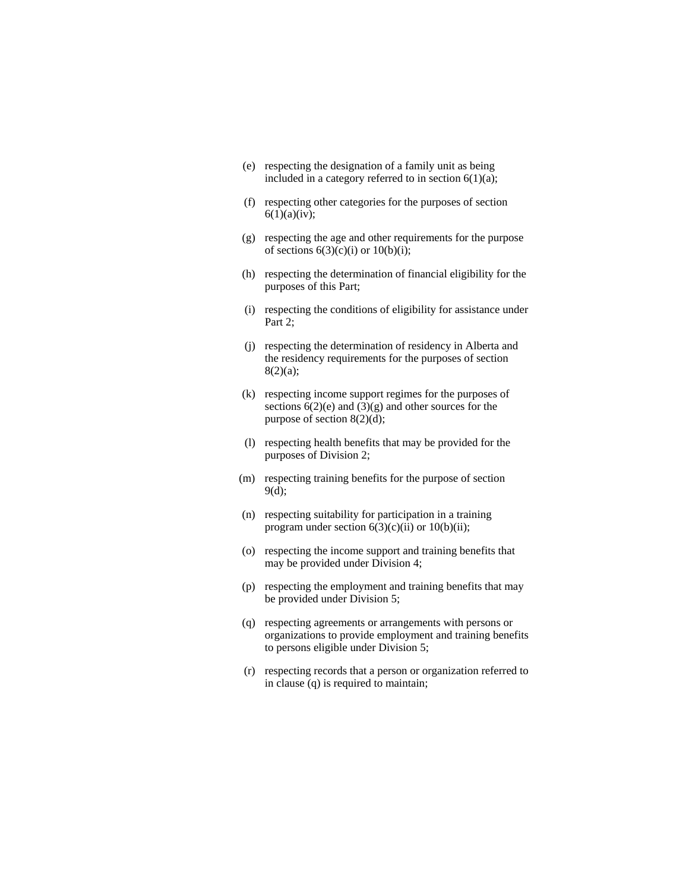- (e) respecting the designation of a family unit as being included in a category referred to in section  $6(1)(a)$ ;
- (f) respecting other categories for the purposes of section  $6(1)(a)(iv)$ ;
- (g) respecting the age and other requirements for the purpose of sections  $6(3)(c)(i)$  or  $10(b)(i)$ ;
- (h) respecting the determination of financial eligibility for the purposes of this Part;
- (i) respecting the conditions of eligibility for assistance under Part 2;
- (j) respecting the determination of residency in Alberta and the residency requirements for the purposes of section 8(2)(a);
- (k) respecting income support regimes for the purposes of sections  $6(2)(e)$  and  $(3)(g)$  and other sources for the purpose of section 8(2)(d);
- (l) respecting health benefits that may be provided for the purposes of Division 2;
- (m) respecting training benefits for the purpose of section 9(d);
- (n) respecting suitability for participation in a training program under section  $6(3)(c)(ii)$  or  $10(b)(ii)$ ;
- (o) respecting the income support and training benefits that may be provided under Division 4;
- (p) respecting the employment and training benefits that may be provided under Division 5;
- (q) respecting agreements or arrangements with persons or organizations to provide employment and training benefits to persons eligible under Division 5;
- (r) respecting records that a person or organization referred to in clause (q) is required to maintain;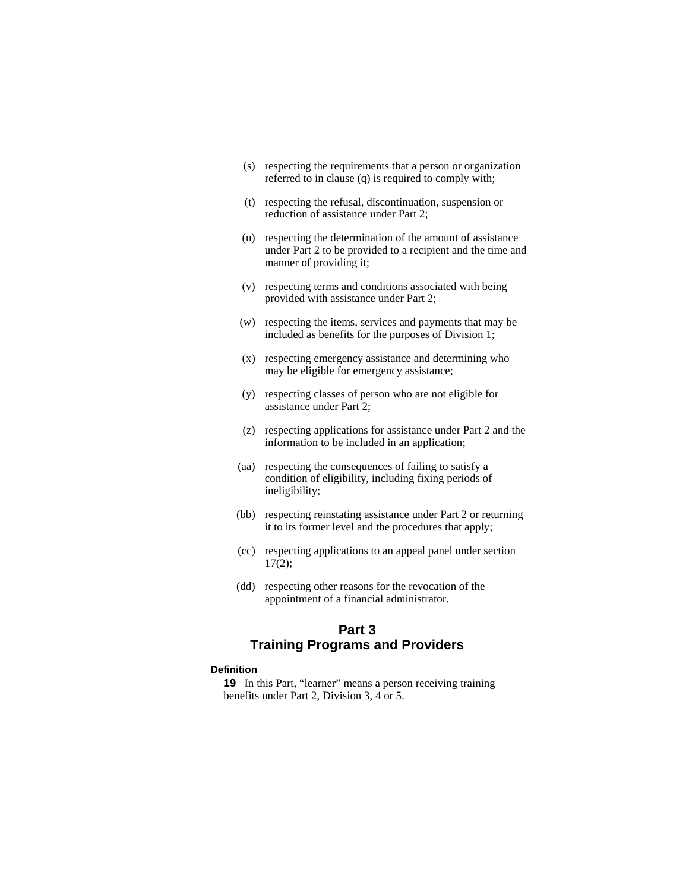- (s) respecting the requirements that a person or organization referred to in clause (q) is required to comply with;
- (t) respecting the refusal, discontinuation, suspension or reduction of assistance under Part 2;
- (u) respecting the determination of the amount of assistance under Part 2 to be provided to a recipient and the time and manner of providing it;
- (v) respecting terms and conditions associated with being provided with assistance under Part 2;
- (w) respecting the items, services and payments that may be included as benefits for the purposes of Division 1;
- (x) respecting emergency assistance and determining who may be eligible for emergency assistance;
- (y) respecting classes of person who are not eligible for assistance under Part 2;
- (z) respecting applications for assistance under Part 2 and the information to be included in an application;
- (aa) respecting the consequences of failing to satisfy a condition of eligibility, including fixing periods of ineligibility;
- (bb) respecting reinstating assistance under Part 2 or returning it to its former level and the procedures that apply;
- (cc) respecting applications to an appeal panel under section 17(2);
- (dd) respecting other reasons for the revocation of the appointment of a financial administrator.

# **Part 3 Training Programs and Providers**

### **Definition**

**19** In this Part, "learner" means a person receiving training benefits under Part 2, Division 3, 4 or 5.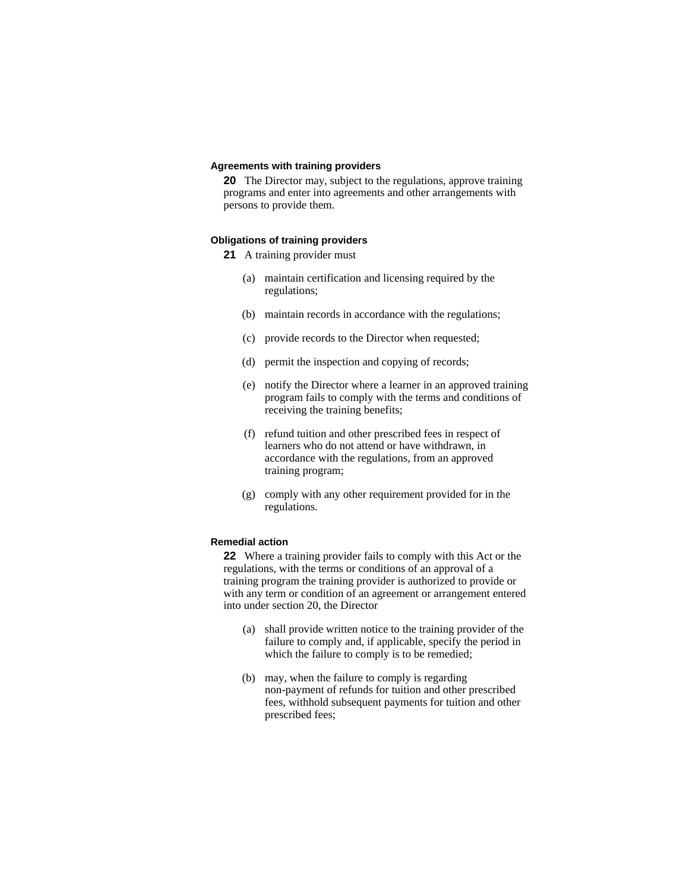#### **Agreements with training providers**

**20** The Director may, subject to the regulations, approve training programs and enter into agreements and other arrangements with persons to provide them.

## **Obligations of training providers**

- **21** A training provider must
	- (a) maintain certification and licensing required by the regulations;
	- (b) maintain records in accordance with the regulations;
	- (c) provide records to the Director when requested;
	- (d) permit the inspection and copying of records;
	- (e) notify the Director where a learner in an approved training program fails to comply with the terms and conditions of receiving the training benefits;
	- (f) refund tuition and other prescribed fees in respect of learners who do not attend or have withdrawn, in accordance with the regulations, from an approved training program;
	- (g) comply with any other requirement provided for in the regulations.

#### **Remedial action**

**22** Where a training provider fails to comply with this Act or the regulations, with the terms or conditions of an approval of a training program the training provider is authorized to provide or with any term or condition of an agreement or arrangement entered into under section 20, the Director

- (a) shall provide written notice to the training provider of the failure to comply and, if applicable, specify the period in which the failure to comply is to be remedied;
- (b) may, when the failure to comply is regarding non-payment of refunds for tuition and other prescribed fees, withhold subsequent payments for tuition and other prescribed fees;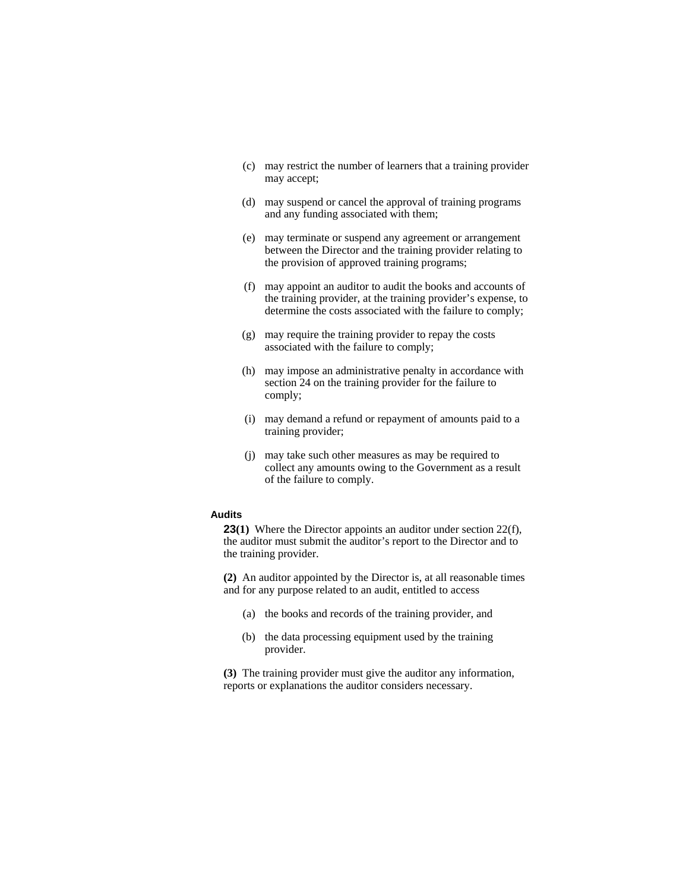- (c) may restrict the number of learners that a training provider may accept;
- (d) may suspend or cancel the approval of training programs and any funding associated with them;
- (e) may terminate or suspend any agreement or arrangement between the Director and the training provider relating to the provision of approved training programs;
- (f) may appoint an auditor to audit the books and accounts of the training provider, at the training provider's expense, to determine the costs associated with the failure to comply;
- (g) may require the training provider to repay the costs associated with the failure to comply;
- (h) may impose an administrative penalty in accordance with section 24 on the training provider for the failure to comply;
- (i) may demand a refund or repayment of amounts paid to a training provider;
- (j) may take such other measures as may be required to collect any amounts owing to the Government as a result of the failure to comply.

#### **Audits**

**23(1)** Where the Director appoints an auditor under section 22(f), the auditor must submit the auditor's report to the Director and to the training provider.

**(2)** An auditor appointed by the Director is, at all reasonable times and for any purpose related to an audit, entitled to access

- (a) the books and records of the training provider, and
- (b) the data processing equipment used by the training provider.

**(3)** The training provider must give the auditor any information, reports or explanations the auditor considers necessary.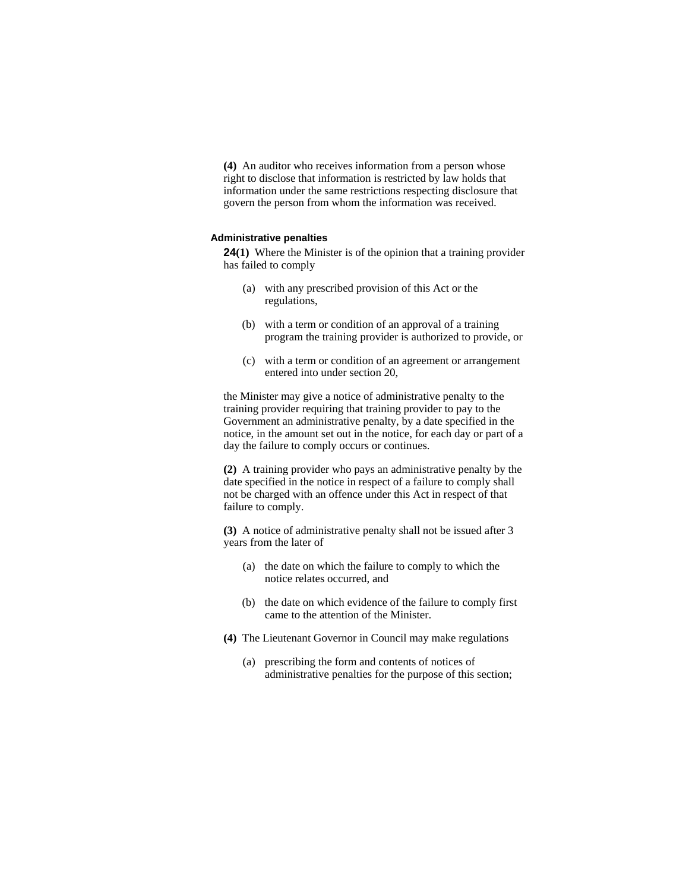**(4)** An auditor who receives information from a person whose right to disclose that information is restricted by law holds that information under the same restrictions respecting disclosure that govern the person from whom the information was received.

#### **Administrative penalties**

**24(1)** Where the Minister is of the opinion that a training provider has failed to comply

- (a) with any prescribed provision of this Act or the regulations,
- (b) with a term or condition of an approval of a training program the training provider is authorized to provide, or
- (c) with a term or condition of an agreement or arrangement entered into under section 20,

the Minister may give a notice of administrative penalty to the training provider requiring that training provider to pay to the Government an administrative penalty, by a date specified in the notice, in the amount set out in the notice, for each day or part of a day the failure to comply occurs or continues.

**(2)** A training provider who pays an administrative penalty by the date specified in the notice in respect of a failure to comply shall not be charged with an offence under this Act in respect of that failure to comply.

**(3)** A notice of administrative penalty shall not be issued after 3 years from the later of

- (a) the date on which the failure to comply to which the notice relates occurred, and
- (b) the date on which evidence of the failure to comply first came to the attention of the Minister.
- **(4)** The Lieutenant Governor in Council may make regulations
	- (a) prescribing the form and contents of notices of administrative penalties for the purpose of this section;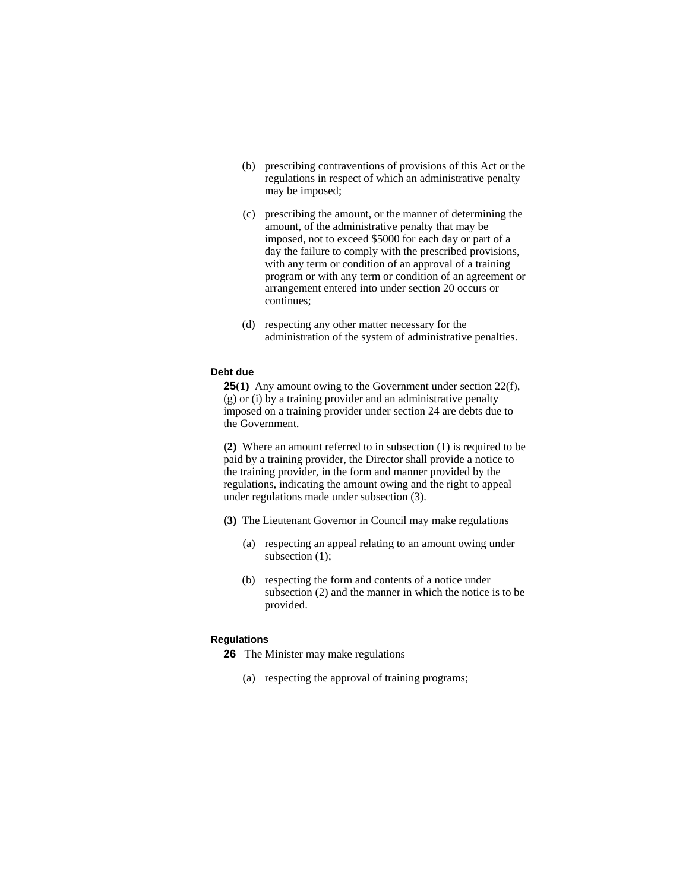- (b) prescribing contraventions of provisions of this Act or the regulations in respect of which an administrative penalty may be imposed;
- (c) prescribing the amount, or the manner of determining the amount, of the administrative penalty that may be imposed, not to exceed \$5000 for each day or part of a day the failure to comply with the prescribed provisions, with any term or condition of an approval of a training program or with any term or condition of an agreement or arrangement entered into under section 20 occurs or continues;
- (d) respecting any other matter necessary for the administration of the system of administrative penalties.

## **Debt due**

**25(1)** Any amount owing to the Government under section 22(f), (g) or (i) by a training provider and an administrative penalty imposed on a training provider under section 24 are debts due to the Government.

**(2)** Where an amount referred to in subsection (1) is required to be paid by a training provider, the Director shall provide a notice to the training provider, in the form and manner provided by the regulations, indicating the amount owing and the right to appeal under regulations made under subsection (3).

- **(3)** The Lieutenant Governor in Council may make regulations
	- (a) respecting an appeal relating to an amount owing under subsection (1);
	- (b) respecting the form and contents of a notice under subsection (2) and the manner in which the notice is to be provided.

#### **Regulations**

- **26** The Minister may make regulations
	- (a) respecting the approval of training programs;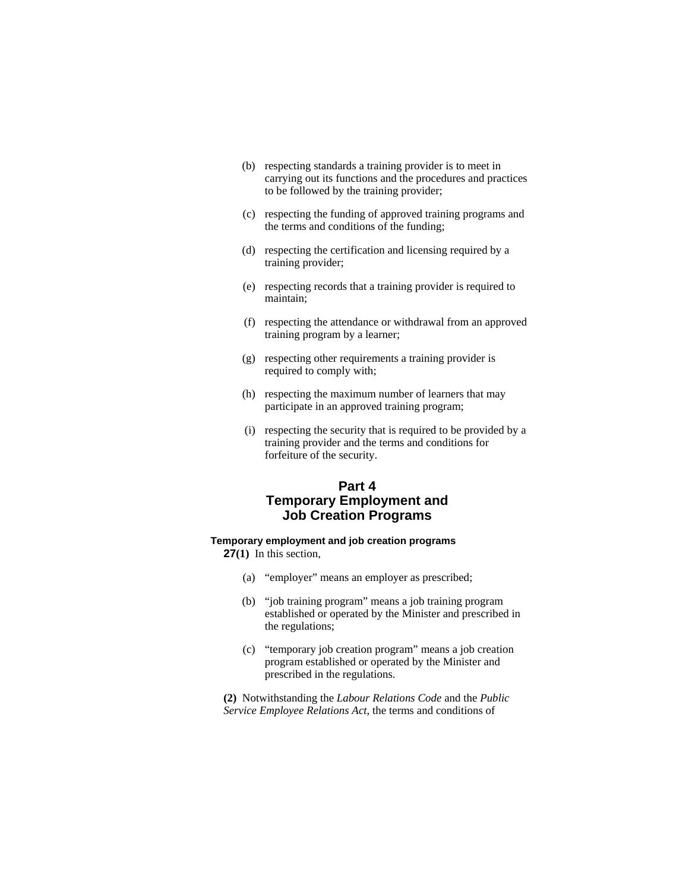- (b) respecting standards a training provider is to meet in carrying out its functions and the procedures and practices to be followed by the training provider;
- (c) respecting the funding of approved training programs and the terms and conditions of the funding;
- (d) respecting the certification and licensing required by a training provider;
- (e) respecting records that a training provider is required to maintain;
- (f) respecting the attendance or withdrawal from an approved training program by a learner;
- (g) respecting other requirements a training provider is required to comply with;
- (h) respecting the maximum number of learners that may participate in an approved training program;
- (i) respecting the security that is required to be provided by a training provider and the terms and conditions for forfeiture of the security.

# **Part 4 Temporary Employment and Job Creation Programs**

## **Temporary employment and job creation programs**

**27(1)** In this section,

- (a) "employer" means an employer as prescribed;
- (b) "job training program" means a job training program established or operated by the Minister and prescribed in the regulations;
- (c) "temporary job creation program" means a job creation program established or operated by the Minister and prescribed in the regulations.

**(2)** Notwithstanding the *Labour Relations Code* and the *Public Service Employee Relations Act*, the terms and conditions of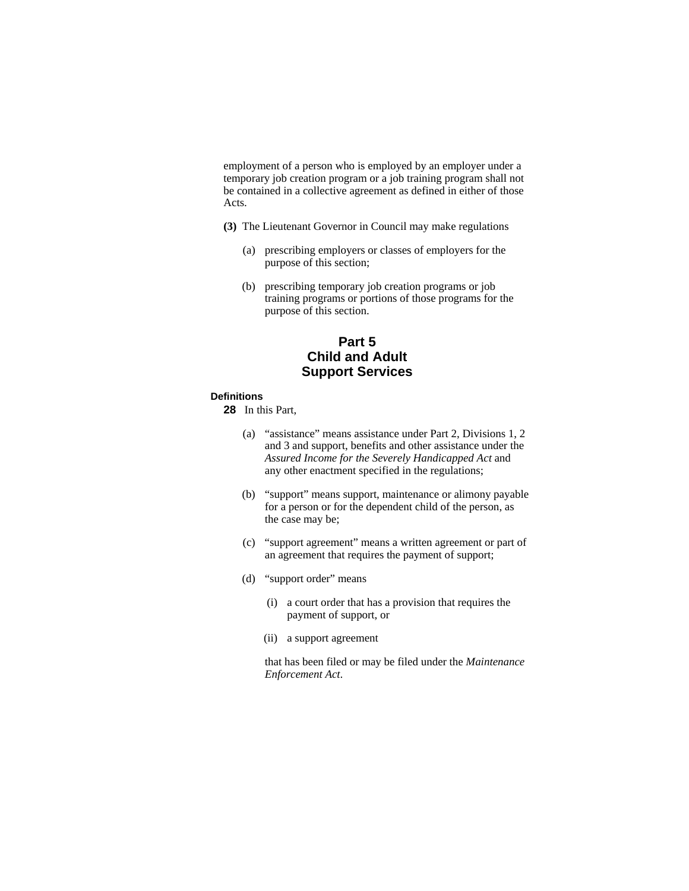employment of a person who is employed by an employer under a temporary job creation program or a job training program shall not be contained in a collective agreement as defined in either of those Acts.

- **(3)** The Lieutenant Governor in Council may make regulations
	- (a) prescribing employers or classes of employers for the purpose of this section;
	- (b) prescribing temporary job creation programs or job training programs or portions of those programs for the purpose of this section.

# **Part 5 Child and Adult Support Services**

## **Definitions**

**28** In this Part,

- (a) "assistance" means assistance under Part 2, Divisions 1, 2 and 3 and support, benefits and other assistance under the *Assured Income for the Severely Handicapped Act* and any other enactment specified in the regulations;
- (b) "support" means support, maintenance or alimony payable for a person or for the dependent child of the person, as the case may be;
- (c) "support agreement" means a written agreement or part of an agreement that requires the payment of support;
- (d) "support order" means
	- (i) a court order that has a provision that requires the payment of support, or
	- (ii) a support agreement

 that has been filed or may be filed under the *Maintenance Enforcement Act*.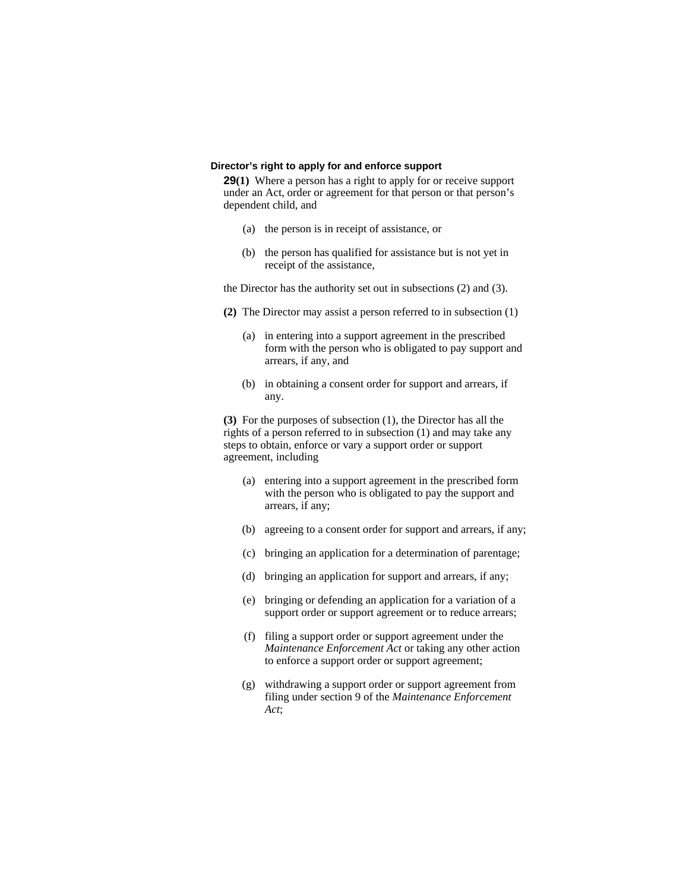#### **Director's right to apply for and enforce support**

**29(1)** Where a person has a right to apply for or receive support under an Act, order or agreement for that person or that person's dependent child, and

- (a) the person is in receipt of assistance, or
- (b) the person has qualified for assistance but is not yet in receipt of the assistance,

the Director has the authority set out in subsections (2) and (3).

- **(2)** The Director may assist a person referred to in subsection (1)
	- (a) in entering into a support agreement in the prescribed form with the person who is obligated to pay support and arrears, if any, and
	- (b) in obtaining a consent order for support and arrears, if any.

**(3)** For the purposes of subsection (1), the Director has all the rights of a person referred to in subsection (1) and may take any steps to obtain, enforce or vary a support order or support agreement, including

- (a) entering into a support agreement in the prescribed form with the person who is obligated to pay the support and arrears, if any;
- (b) agreeing to a consent order for support and arrears, if any;
- (c) bringing an application for a determination of parentage;
- (d) bringing an application for support and arrears, if any;
- (e) bringing or defending an application for a variation of a support order or support agreement or to reduce arrears;
- (f) filing a support order or support agreement under the *Maintenance Enforcement Act* or taking any other action to enforce a support order or support agreement;
- (g) withdrawing a support order or support agreement from filing under section 9 of the *Maintenance Enforcement Act*;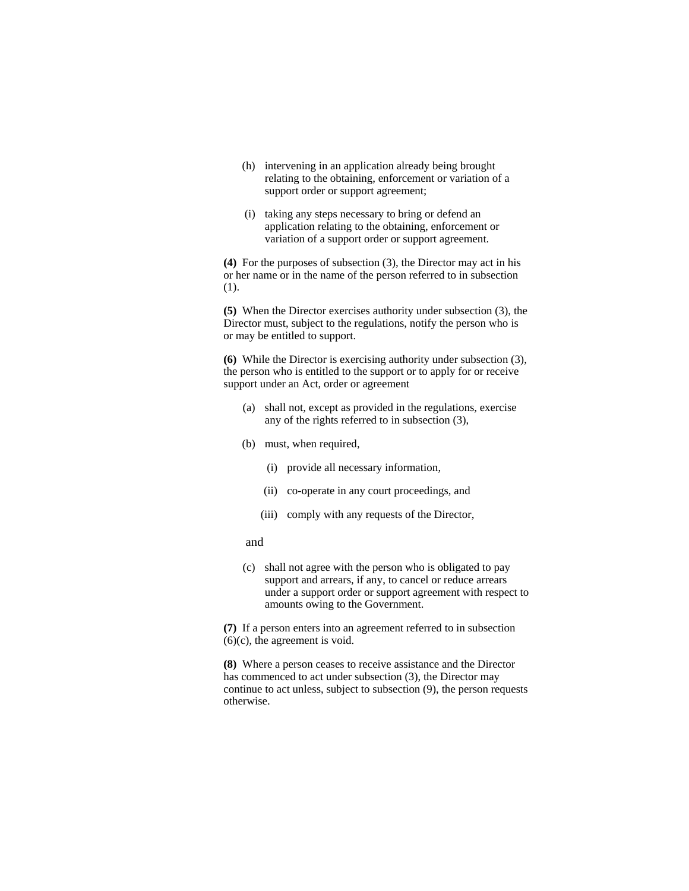- (h) intervening in an application already being brought relating to the obtaining, enforcement or variation of a support order or support agreement;
- (i) taking any steps necessary to bring or defend an application relating to the obtaining, enforcement or variation of a support order or support agreement.

**(4)** For the purposes of subsection (3), the Director may act in his or her name or in the name of the person referred to in subsection (1).

**(5)** When the Director exercises authority under subsection (3), the Director must, subject to the regulations, notify the person who is or may be entitled to support.

**(6)** While the Director is exercising authority under subsection (3), the person who is entitled to the support or to apply for or receive support under an Act, order or agreement

- (a) shall not, except as provided in the regulations, exercise any of the rights referred to in subsection (3),
- (b) must, when required,
	- (i) provide all necessary information,
	- (ii) co-operate in any court proceedings, and
	- (iii) comply with any requests of the Director,
- and
- (c) shall not agree with the person who is obligated to pay support and arrears, if any, to cancel or reduce arrears under a support order or support agreement with respect to amounts owing to the Government.

**(7)** If a person enters into an agreement referred to in subsection (6)(c), the agreement is void.

**(8)** Where a person ceases to receive assistance and the Director has commenced to act under subsection (3), the Director may continue to act unless, subject to subsection (9), the person requests otherwise.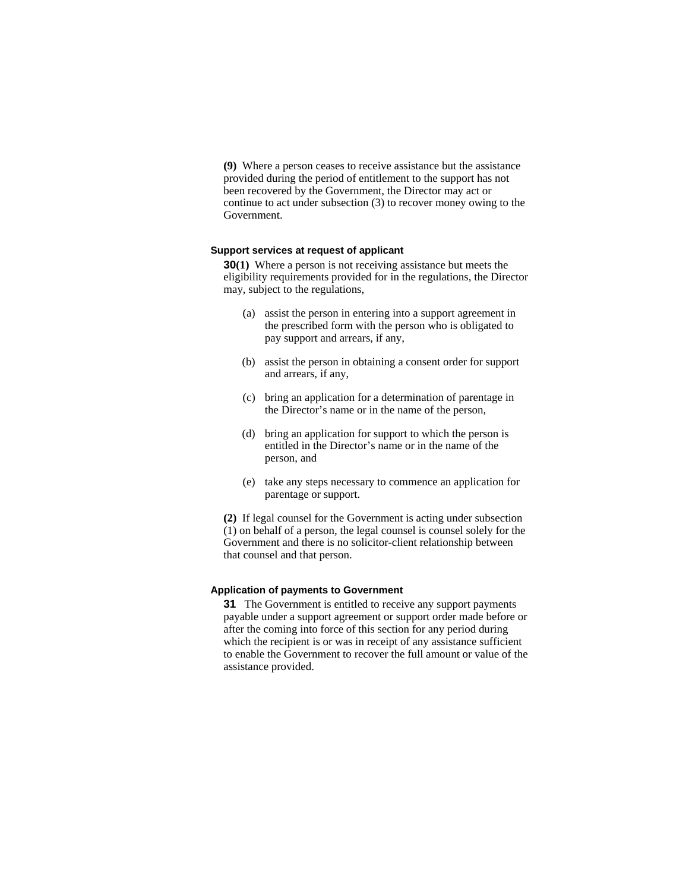**(9)** Where a person ceases to receive assistance but the assistance provided during the period of entitlement to the support has not been recovered by the Government, the Director may act or continue to act under subsection (3) to recover money owing to the Government.

#### **Support services at request of applicant**

**30(1)** Where a person is not receiving assistance but meets the eligibility requirements provided for in the regulations, the Director may, subject to the regulations,

- (a) assist the person in entering into a support agreement in the prescribed form with the person who is obligated to pay support and arrears, if any,
- (b) assist the person in obtaining a consent order for support and arrears, if any,
- (c) bring an application for a determination of parentage in the Director's name or in the name of the person,
- (d) bring an application for support to which the person is entitled in the Director's name or in the name of the person, and
- (e) take any steps necessary to commence an application for parentage or support.

**(2)** If legal counsel for the Government is acting under subsection (1) on behalf of a person, the legal counsel is counsel solely for the Government and there is no solicitor-client relationship between that counsel and that person.

#### **Application of payments to Government**

**31** The Government is entitled to receive any support payments payable under a support agreement or support order made before or after the coming into force of this section for any period during which the recipient is or was in receipt of any assistance sufficient to enable the Government to recover the full amount or value of the assistance provided.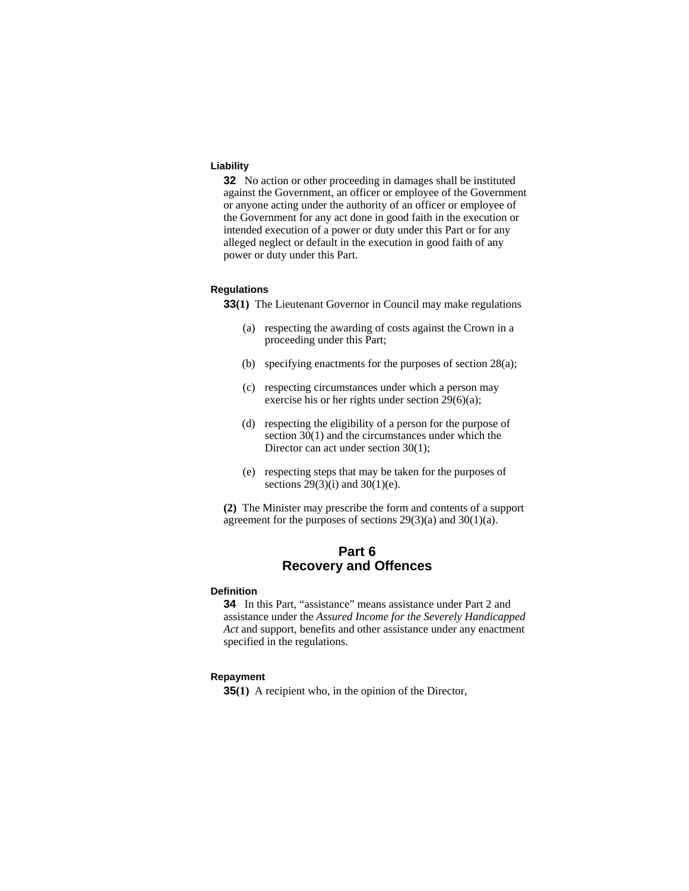#### **Liability**

**32** No action or other proceeding in damages shall be instituted against the Government, an officer or employee of the Government or anyone acting under the authority of an officer or employee of the Government for any act done in good faith in the execution or intended execution of a power or duty under this Part or for any alleged neglect or default in the execution in good faith of any power or duty under this Part.

#### **Regulations**

**33(1)** The Lieutenant Governor in Council may make regulations

- (a) respecting the awarding of costs against the Crown in a proceeding under this Part;
- (b) specifying enactments for the purposes of section 28(a);
- (c) respecting circumstances under which a person may exercise his or her rights under section 29(6)(a);
- (d) respecting the eligibility of a person for the purpose of section 30(1) and the circumstances under which the Director can act under section 30(1);
- (e) respecting steps that may be taken for the purposes of sections  $29(3)(i)$  and  $30(1)(e)$ .

**(2)** The Minister may prescribe the form and contents of a support agreement for the purposes of sections  $29(3)(a)$  and  $30(1)(a)$ .

# **Part 6 Recovery and Offences**

#### **Definition**

**34** In this Part, "assistance" means assistance under Part 2 and assistance under the *Assured Income for the Severely Handicapped Act* and support, benefits and other assistance under any enactment specified in the regulations.

### **Repayment**

**35(1)** A recipient who, in the opinion of the Director,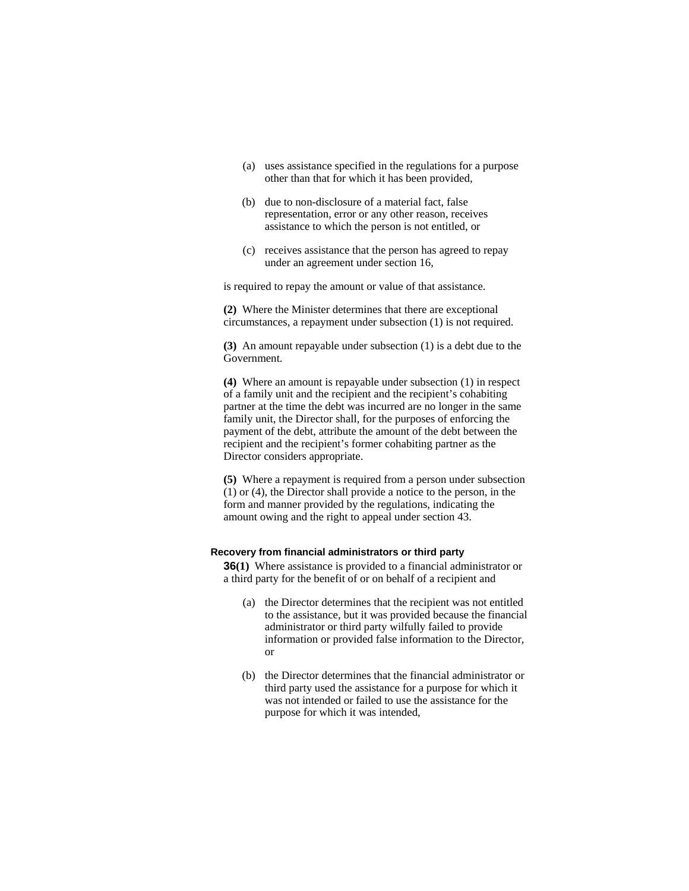- (a) uses assistance specified in the regulations for a purpose other than that for which it has been provided,
- (b) due to non-disclosure of a material fact, false representation, error or any other reason, receives assistance to which the person is not entitled, or
- (c) receives assistance that the person has agreed to repay under an agreement under section 16,

is required to repay the amount or value of that assistance.

**(2)** Where the Minister determines that there are exceptional circumstances, a repayment under subsection (1) is not required.

**(3)** An amount repayable under subsection (1) is a debt due to the Government.

**(4)** Where an amount is repayable under subsection (1) in respect of a family unit and the recipient and the recipient's cohabiting partner at the time the debt was incurred are no longer in the same family unit, the Director shall, for the purposes of enforcing the payment of the debt, attribute the amount of the debt between the recipient and the recipient's former cohabiting partner as the Director considers appropriate.

**(5)** Where a repayment is required from a person under subsection (1) or (4), the Director shall provide a notice to the person, in the form and manner provided by the regulations, indicating the amount owing and the right to appeal under section 43.

#### **Recovery from financial administrators or third party**

**36(1)** Where assistance is provided to a financial administrator or a third party for the benefit of or on behalf of a recipient and

- (a) the Director determines that the recipient was not entitled to the assistance, but it was provided because the financial administrator or third party wilfully failed to provide information or provided false information to the Director, or
- (b) the Director determines that the financial administrator or third party used the assistance for a purpose for which it was not intended or failed to use the assistance for the purpose for which it was intended,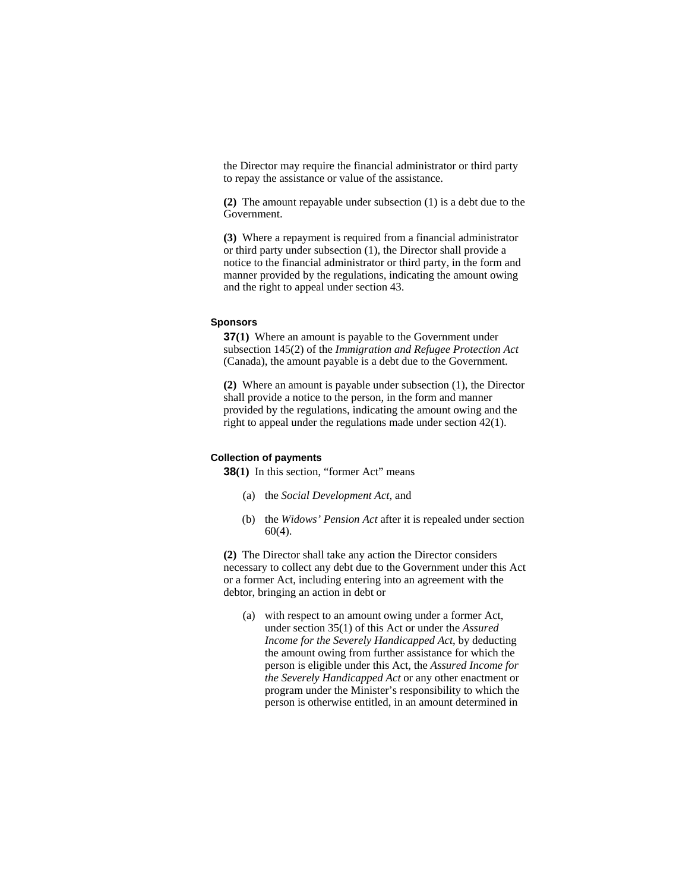the Director may require the financial administrator or third party to repay the assistance or value of the assistance.

**(2)** The amount repayable under subsection (1) is a debt due to the Government.

**(3)** Where a repayment is required from a financial administrator or third party under subsection (1), the Director shall provide a notice to the financial administrator or third party, in the form and manner provided by the regulations, indicating the amount owing and the right to appeal under section 43.

#### **Sponsors**

**37(1)** Where an amount is payable to the Government under subsection 145(2) of the *Immigration and Refugee Protection Act* (Canada), the amount payable is a debt due to the Government.

**(2)** Where an amount is payable under subsection (1), the Director shall provide a notice to the person, in the form and manner provided by the regulations, indicating the amount owing and the right to appeal under the regulations made under section 42(1).

#### **Collection of payments**

**38(1)** In this section, "former Act" means

- (a) the *Social Development Act*, and
- (b) the *Widows' Pension Act* after it is repealed under section 60(4).

**(2)** The Director shall take any action the Director considers necessary to collect any debt due to the Government under this Act or a former Act, including entering into an agreement with the debtor, bringing an action in debt or

 (a) with respect to an amount owing under a former Act, under section 35(1) of this Act or under the *Assured Income for the Severely Handicapped Act*, by deducting the amount owing from further assistance for which the person is eligible under this Act, the *Assured Income for the Severely Handicapped Act* or any other enactment or program under the Minister's responsibility to which the person is otherwise entitled, in an amount determined in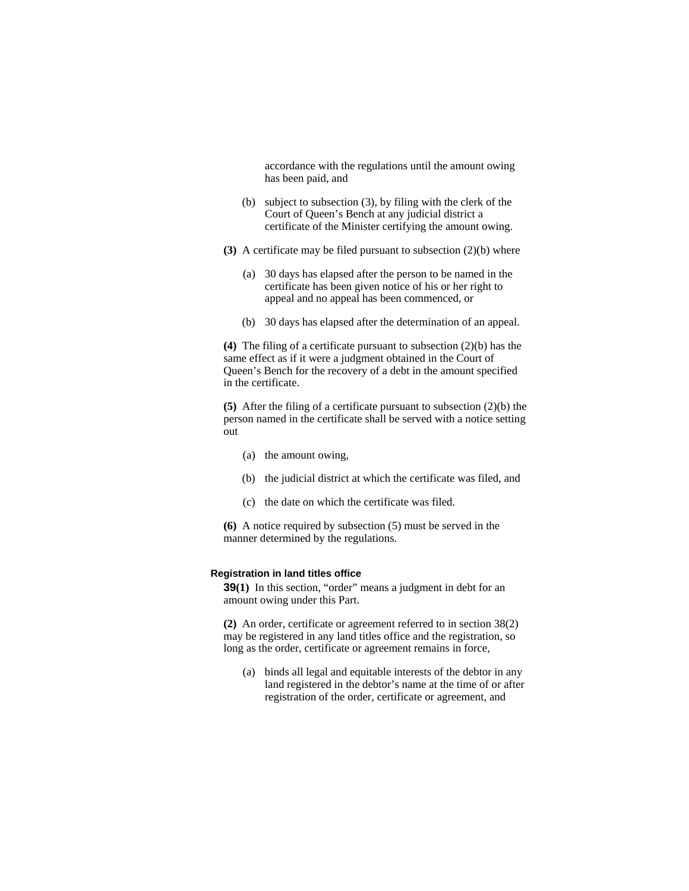accordance with the regulations until the amount owing has been paid, and

- (b) subject to subsection (3), by filing with the clerk of the Court of Queen's Bench at any judicial district a certificate of the Minister certifying the amount owing.
- **(3)** A certificate may be filed pursuant to subsection (2)(b) where
	- (a) 30 days has elapsed after the person to be named in the certificate has been given notice of his or her right to appeal and no appeal has been commenced, or
	- (b) 30 days has elapsed after the determination of an appeal.

**(4)** The filing of a certificate pursuant to subsection (2)(b) has the same effect as if it were a judgment obtained in the Court of Queen's Bench for the recovery of a debt in the amount specified in the certificate.

**(5)** After the filing of a certificate pursuant to subsection (2)(b) the person named in the certificate shall be served with a notice setting out

- (a) the amount owing,
- (b) the judicial district at which the certificate was filed, and
- (c) the date on which the certificate was filed.

**(6)** A notice required by subsection (5) must be served in the manner determined by the regulations.

#### **Registration in land titles office**

**39(1)** In this section, "order" means a judgment in debt for an amount owing under this Part.

**(2)** An order, certificate or agreement referred to in section 38(2) may be registered in any land titles office and the registration, so long as the order, certificate or agreement remains in force,

 (a) binds all legal and equitable interests of the debtor in any land registered in the debtor's name at the time of or after registration of the order, certificate or agreement, and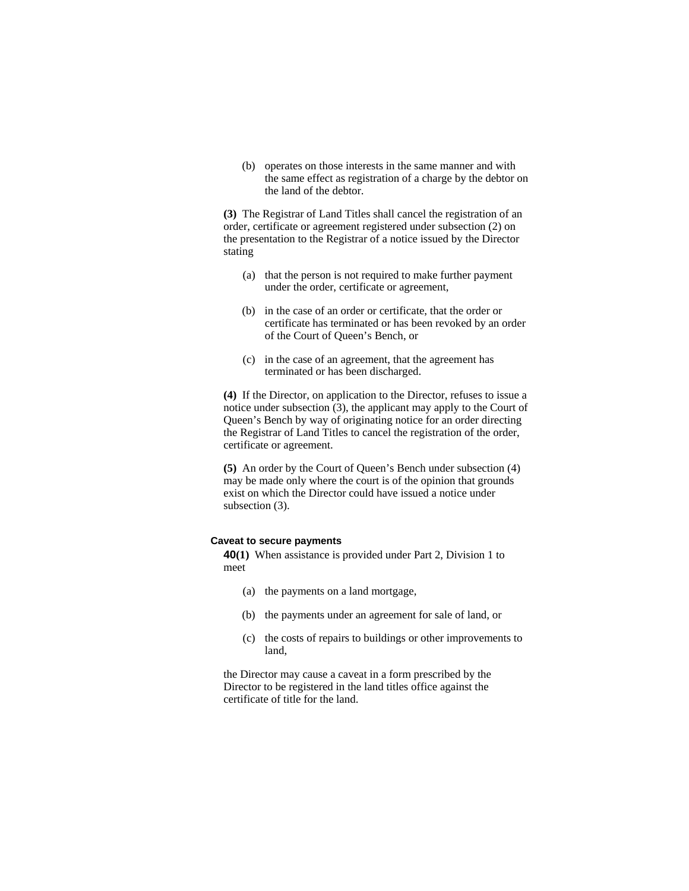(b) operates on those interests in the same manner and with the same effect as registration of a charge by the debtor on the land of the debtor.

**(3)** The Registrar of Land Titles shall cancel the registration of an order, certificate or agreement registered under subsection (2) on the presentation to the Registrar of a notice issued by the Director stating

- (a) that the person is not required to make further payment under the order, certificate or agreement,
- (b) in the case of an order or certificate, that the order or certificate has terminated or has been revoked by an order of the Court of Queen's Bench, or
- (c) in the case of an agreement, that the agreement has terminated or has been discharged.

**(4)** If the Director, on application to the Director, refuses to issue a notice under subsection  $\overline{(3)}$ , the applicant may apply to the Court of Queen's Bench by way of originating notice for an order directing the Registrar of Land Titles to cancel the registration of the order, certificate or agreement.

**(5)** An order by the Court of Queen's Bench under subsection (4) may be made only where the court is of the opinion that grounds exist on which the Director could have issued a notice under subsection (3).

#### **Caveat to secure payments**

**40(1)** When assistance is provided under Part 2, Division 1 to meet

- (a) the payments on a land mortgage,
- (b) the payments under an agreement for sale of land, or
- (c) the costs of repairs to buildings or other improvements to land,

the Director may cause a caveat in a form prescribed by the Director to be registered in the land titles office against the certificate of title for the land.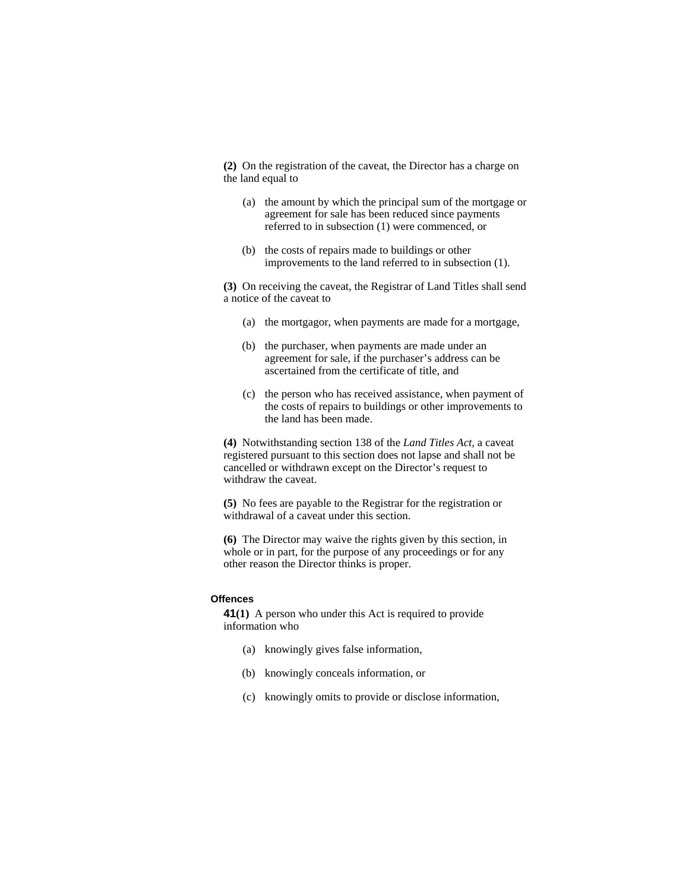**(2)** On the registration of the caveat, the Director has a charge on the land equal to

- (a) the amount by which the principal sum of the mortgage or agreement for sale has been reduced since payments referred to in subsection (1) were commenced, or
- (b) the costs of repairs made to buildings or other improvements to the land referred to in subsection (1).

**(3)** On receiving the caveat, the Registrar of Land Titles shall send a notice of the caveat to

- (a) the mortgagor, when payments are made for a mortgage,
- (b) the purchaser, when payments are made under an agreement for sale, if the purchaser's address can be ascertained from the certificate of title, and
- (c) the person who has received assistance, when payment of the costs of repairs to buildings or other improvements to the land has been made.

**(4)** Notwithstanding section 138 of the *Land Titles Act*, a caveat registered pursuant to this section does not lapse and shall not be cancelled or withdrawn except on the Director's request to withdraw the caveat.

**(5)** No fees are payable to the Registrar for the registration or withdrawal of a caveat under this section.

**(6)** The Director may waive the rights given by this section, in whole or in part, for the purpose of any proceedings or for any other reason the Director thinks is proper.

#### **Offences**

**41(1)** A person who under this Act is required to provide information who

- (a) knowingly gives false information,
- (b) knowingly conceals information, or
- (c) knowingly omits to provide or disclose information,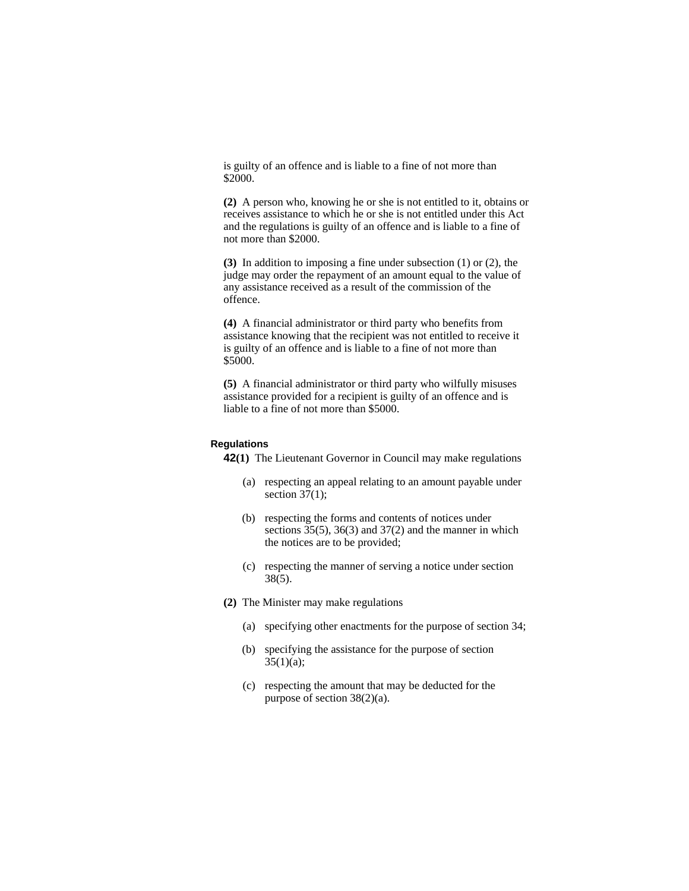is guilty of an offence and is liable to a fine of not more than \$2000.

**(2)** A person who, knowing he or she is not entitled to it, obtains or receives assistance to which he or she is not entitled under this Act and the regulations is guilty of an offence and is liable to a fine of not more than \$2000.

**(3)** In addition to imposing a fine under subsection (1) or (2), the judge may order the repayment of an amount equal to the value of any assistance received as a result of the commission of the offence.

**(4)** A financial administrator or third party who benefits from assistance knowing that the recipient was not entitled to receive it is guilty of an offence and is liable to a fine of not more than \$5000.

**(5)** A financial administrator or third party who wilfully misuses assistance provided for a recipient is guilty of an offence and is liable to a fine of not more than \$5000.

### **Regulations**

**42(1)** The Lieutenant Governor in Council may make regulations

- (a) respecting an appeal relating to an amount payable under section  $37(1)$ ;
- (b) respecting the forms and contents of notices under sections 35(5), 36(3) and 37(2) and the manner in which the notices are to be provided;
- (c) respecting the manner of serving a notice under section 38(5).
- **(2)** The Minister may make regulations
	- (a) specifying other enactments for the purpose of section 34;
	- (b) specifying the assistance for the purpose of section  $35(1)(a);$
	- (c) respecting the amount that may be deducted for the purpose of section 38(2)(a).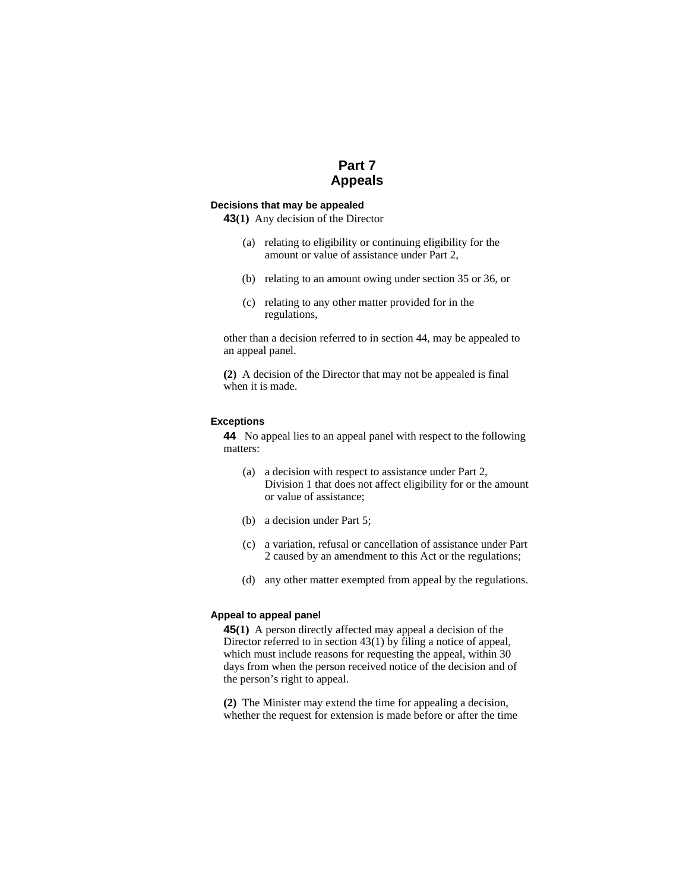# **Part 7 Appeals**

#### **Decisions that may be appealed**

**43(1)** Any decision of the Director

- (a) relating to eligibility or continuing eligibility for the amount or value of assistance under Part 2,
- (b) relating to an amount owing under section 35 or 36, or
- (c) relating to any other matter provided for in the regulations,

other than a decision referred to in section 44, may be appealed to an appeal panel.

**(2)** A decision of the Director that may not be appealed is final when it is made.

#### **Exceptions**

**44** No appeal lies to an appeal panel with respect to the following matters:

- (a) a decision with respect to assistance under Part 2, Division 1 that does not affect eligibility for or the amount or value of assistance;
- (b) a decision under Part 5;
- (c) a variation, refusal or cancellation of assistance under Part 2 caused by an amendment to this Act or the regulations;
- (d) any other matter exempted from appeal by the regulations.

### **Appeal to appeal panel**

**45(1)** A person directly affected may appeal a decision of the Director referred to in section 43(1) by filing a notice of appeal, which must include reasons for requesting the appeal, within 30 days from when the person received notice of the decision and of the person's right to appeal.

**(2)** The Minister may extend the time for appealing a decision, whether the request for extension is made before or after the time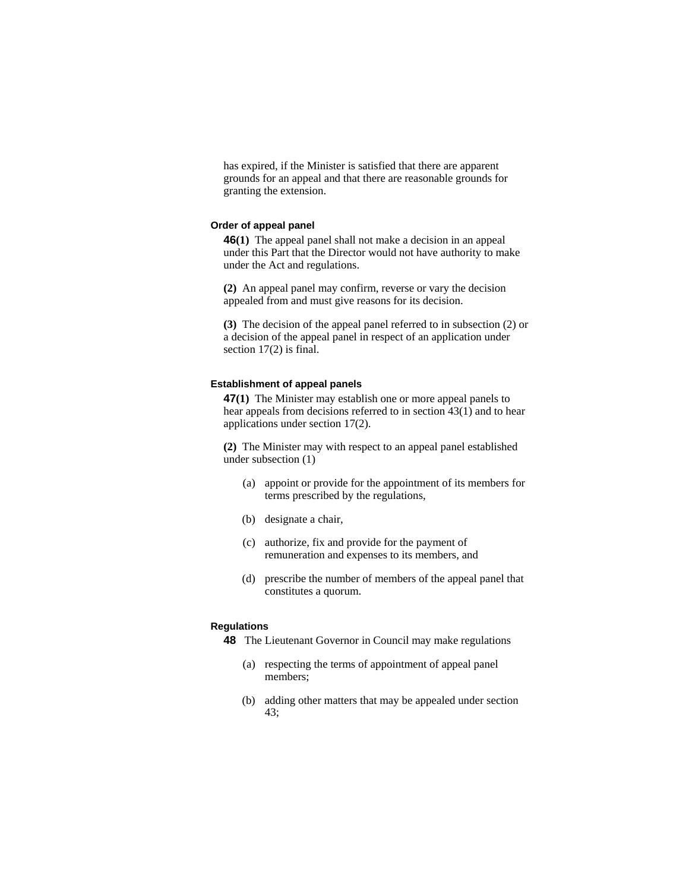has expired, if the Minister is satisfied that there are apparent grounds for an appeal and that there are reasonable grounds for granting the extension.

#### **Order of appeal panel**

**46(1)** The appeal panel shall not make a decision in an appeal under this Part that the Director would not have authority to make under the Act and regulations.

**(2)** An appeal panel may confirm, reverse or vary the decision appealed from and must give reasons for its decision.

**(3)** The decision of the appeal panel referred to in subsection (2) or a decision of the appeal panel in respect of an application under section 17(2) is final.

#### **Establishment of appeal panels**

**47(1)** The Minister may establish one or more appeal panels to hear appeals from decisions referred to in section 43(1) and to hear applications under section 17(2).

**(2)** The Minister may with respect to an appeal panel established under subsection (1)

- (a) appoint or provide for the appointment of its members for terms prescribed by the regulations,
- (b) designate a chair,
- (c) authorize, fix and provide for the payment of remuneration and expenses to its members, and
- (d) prescribe the number of members of the appeal panel that constitutes a quorum.

## **Regulations**

- **48** The Lieutenant Governor in Council may make regulations
	- (a) respecting the terms of appointment of appeal panel members;
	- (b) adding other matters that may be appealed under section 43;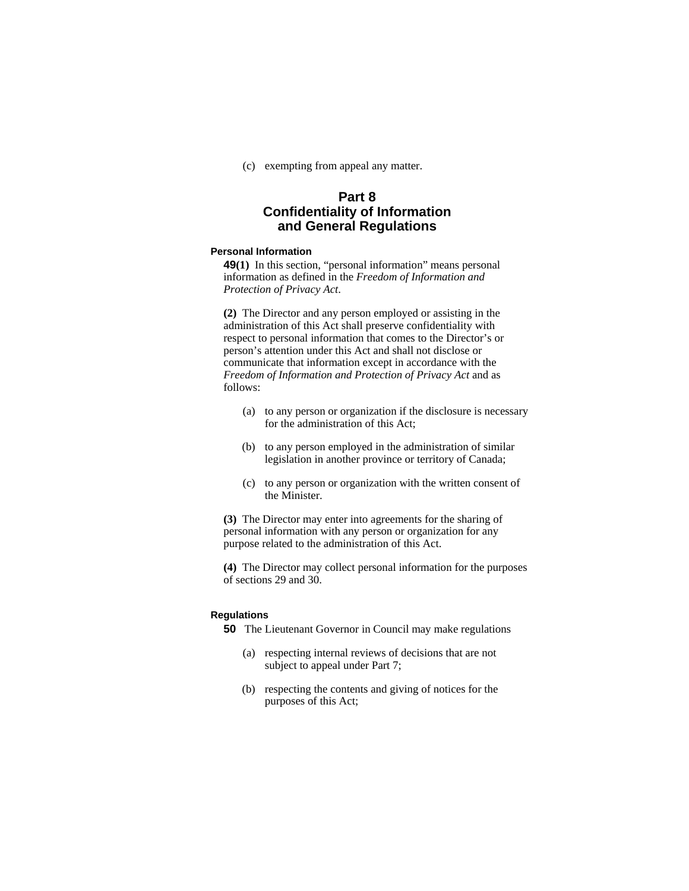(c) exempting from appeal any matter.

# **Part 8 Confidentiality of Information and General Regulations**

#### **Personal Information**

**49(1)** In this section, "personal information" means personal information as defined in the *Freedom of Information and Protection of Privacy Act*.

**(2)** The Director and any person employed or assisting in the administration of this Act shall preserve confidentiality with respect to personal information that comes to the Director's or person's attention under this Act and shall not disclose or communicate that information except in accordance with the *Freedom of Information and Protection of Privacy Act* and as follows:

- (a) to any person or organization if the disclosure is necessary for the administration of this Act;
- (b) to any person employed in the administration of similar legislation in another province or territory of Canada;
- (c) to any person or organization with the written consent of the Minister.

**(3)** The Director may enter into agreements for the sharing of personal information with any person or organization for any purpose related to the administration of this Act.

**(4)** The Director may collect personal information for the purposes of sections 29 and 30.

#### **Regulations**

**50** The Lieutenant Governor in Council may make regulations

- (a) respecting internal reviews of decisions that are not subject to appeal under Part 7;
- (b) respecting the contents and giving of notices for the purposes of this Act;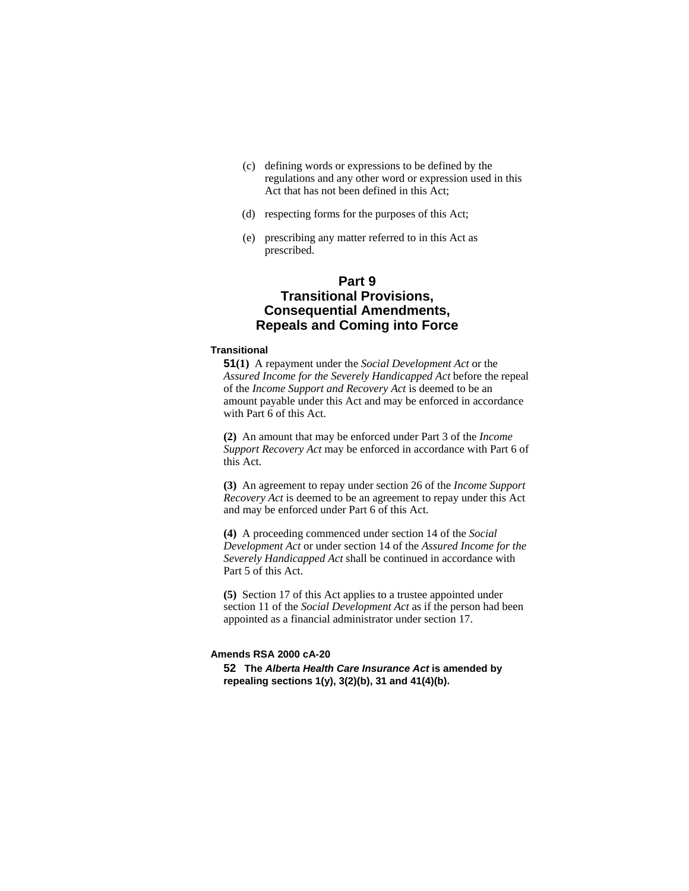- (c) defining words or expressions to be defined by the regulations and any other word or expression used in this Act that has not been defined in this Act;
- (d) respecting forms for the purposes of this Act;
- (e) prescribing any matter referred to in this Act as prescribed.

# **Part 9 Transitional Provisions, Consequential Amendments, Repeals and Coming into Force**

#### **Transitional**

**51(1)** A repayment under the *Social Development Act* or the *Assured Income for the Severely Handicapped Act* before the repeal of the *Income Support and Recovery Act* is deemed to be an amount payable under this Act and may be enforced in accordance with Part 6 of this Act.

**(2)** An amount that may be enforced under Part 3 of the *Income Support Recovery Act* may be enforced in accordance with Part 6 of this Act.

**(3)** An agreement to repay under section 26 of the *Income Support Recovery Act* is deemed to be an agreement to repay under this Act and may be enforced under Part 6 of this Act.

**(4)** A proceeding commenced under section 14 of the *Social Development Act* or under section 14 of the *Assured Income for the Severely Handicapped Act* shall be continued in accordance with Part 5 of this Act.

**(5)** Section 17 of this Act applies to a trustee appointed under section 11 of the *Social Development Act* as if the person had been appointed as a financial administrator under section 17.

#### **Amends RSA 2000 cA-20**

**52 The** *Alberta Health Care Insurance Act* **is amended by repealing sections 1(y), 3(2)(b), 31 and 41(4)(b).**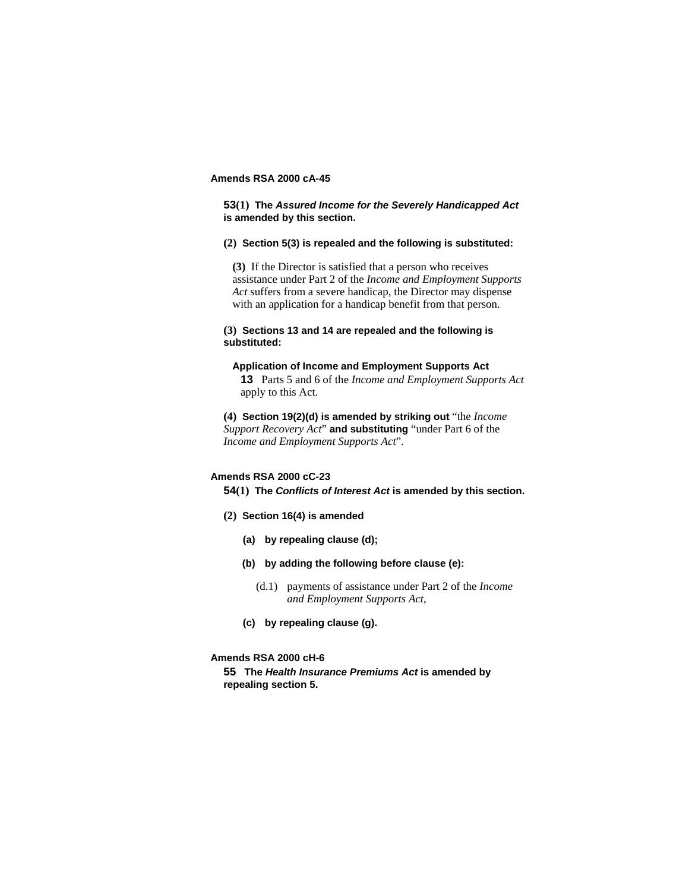## **Amends RSA 2000 cA-45**

**53(1) The** *Assured Income for the Severely Handicapped Act* **is amended by this section.**

#### **(2) Section 5(3) is repealed and the following is substituted:**

**(3)** If the Director is satisfied that a person who receives assistance under Part 2 of the *Income and Employment Supports Act* suffers from a severe handicap, the Director may dispense with an application for a handicap benefit from that person.

## **(3) Sections 13 and 14 are repealed and the following is substituted:**

### **Application of Income and Employment Supports Act**

**13** Parts 5 and 6 of the *Income and Employment Supports Act*  apply to this Act.

**(4) Section 19(2)(d) is amended by striking out** "the *Income Support Recovery Act*" **and substituting** "under Part 6 of the *Income and Employment Supports Act*".

## **Amends RSA 2000 cC-23**

**54(1) The** *Conflicts of Interest Act* **is amended by this section.**

- **(2) Section 16(4) is amended**
	- **(a) by repealing clause (d);**
	- **(b) by adding the following before clause (e):** 
		- (d.1) payments of assistance under Part 2 of the *Income and Employment Supports Act*,
	- **(c) by repealing clause (g).**

### **Amends RSA 2000 cH-6**

**55 The** *Health Insurance Premiums Act* **is amended by repealing section 5.**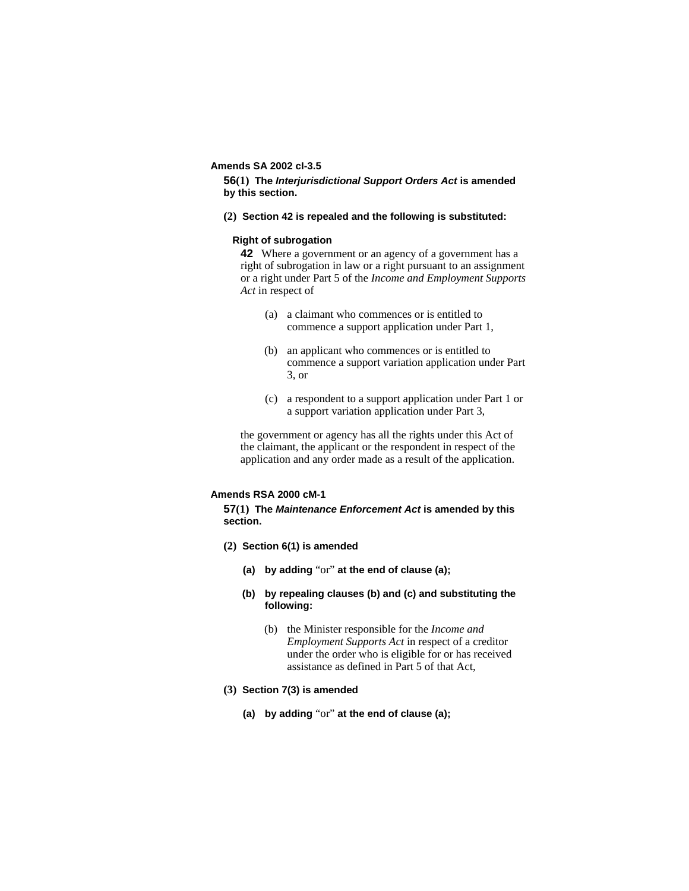### **Amends SA 2002 cI-3.5**

**56(1) The** *Interjurisdictional Support Orders Act* **is amended by this section.**

**(2) Section 42 is repealed and the following is substituted:**

### **Right of subrogation**

**42** Where a government or an agency of a government has a right of subrogation in law or a right pursuant to an assignment or a right under Part 5 of the *Income and Employment Supports Act* in respect of

- (a) a claimant who commences or is entitled to commence a support application under Part 1,
- (b) an applicant who commences or is entitled to commence a support variation application under Part 3, or
- (c) a respondent to a support application under Part 1 or a support variation application under Part 3,

the government or agency has all the rights under this Act of the claimant, the applicant or the respondent in respect of the application and any order made as a result of the application.

### **Amends RSA 2000 cM-1**

**57(1) The** *Maintenance Enforcement Act* **is amended by this section.**

- **(2) Section 6(1) is amended** 
	- **(a) by adding** "or" **at the end of clause (a);**
	- **(b) by repealing clauses (b) and (c) and substituting the following:** 
		- (b) the Minister responsible for the *Income and Employment Supports Act* in respect of a creditor under the order who is eligible for or has received assistance as defined in Part 5 of that Act,
- **(3) Section 7(3) is amended**
	- **(a) by adding** "or" **at the end of clause (a);**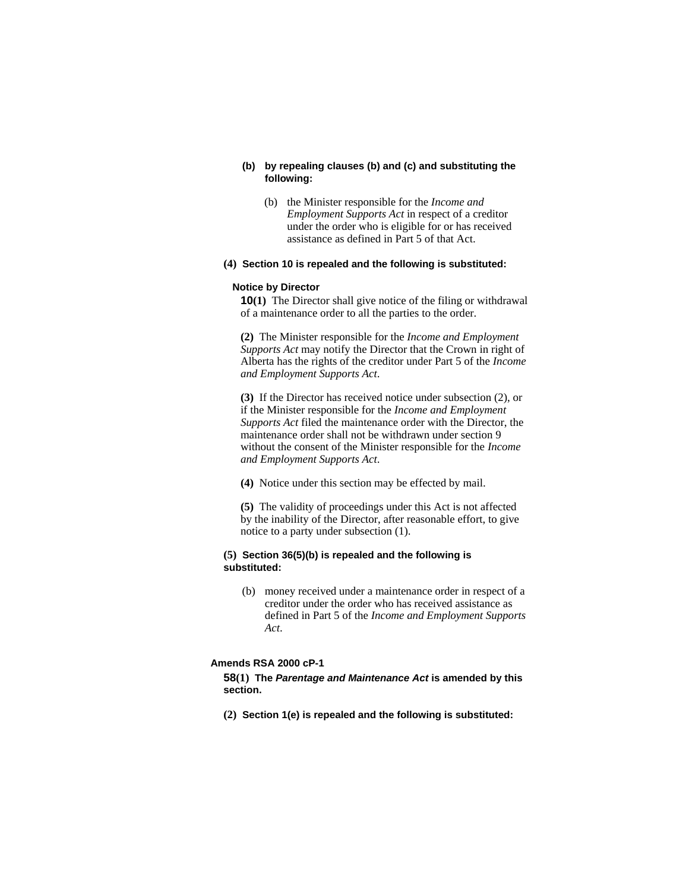### **(b) by repealing clauses (b) and (c) and substituting the following:**

 (b) the Minister responsible for the *Income and Employment Supports Act* in respect of a creditor under the order who is eligible for or has received assistance as defined in Part 5 of that Act.

#### **(4) Section 10 is repealed and the following is substituted:**

#### **Notice by Director**

**10(1)** The Director shall give notice of the filing or withdrawal of a maintenance order to all the parties to the order.

**(2)** The Minister responsible for the *Income and Employment Supports Act* may notify the Director that the Crown in right of Alberta has the rights of the creditor under Part 5 of the *Income and Employment Supports Act*.

**(3)** If the Director has received notice under subsection (2), or if the Minister responsible for the *Income and Employment Supports Act* filed the maintenance order with the Director, the maintenance order shall not be withdrawn under section 9 without the consent of the Minister responsible for the *Income and Employment Supports Act*.

**(4)** Notice under this section may be effected by mail.

**(5)** The validity of proceedings under this Act is not affected by the inability of the Director, after reasonable effort, to give notice to a party under subsection (1).

### **(5) Section 36(5)(b) is repealed and the following is substituted:**

 (b) money received under a maintenance order in respect of a creditor under the order who has received assistance as defined in Part 5 of the *Income and Employment Supports Act*.

## **Amends RSA 2000 cP-1**

**58(1) The** *Parentage and Maintenance Act* **is amended by this section.**

**(2) Section 1(e) is repealed and the following is substituted:**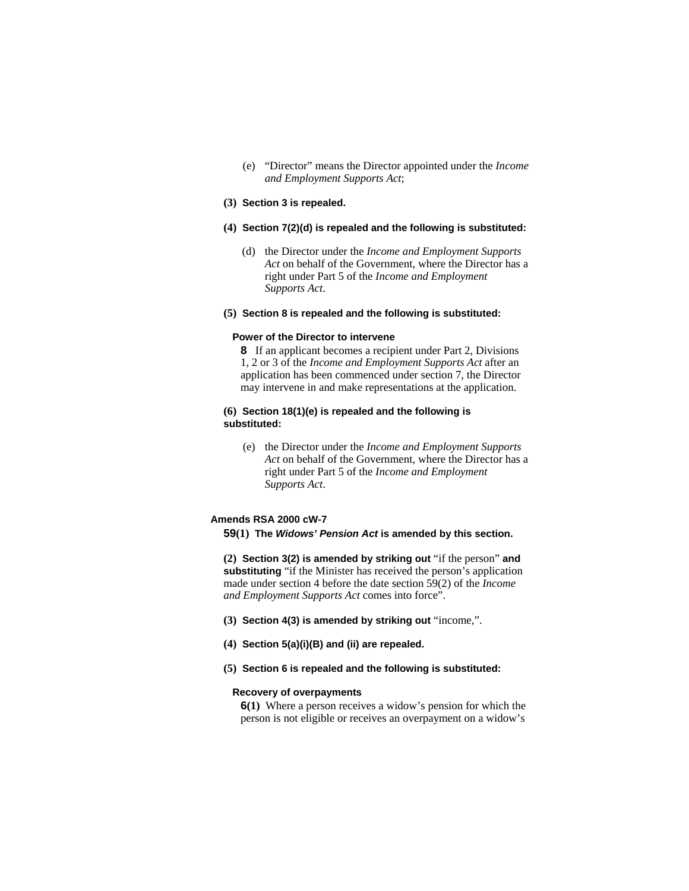(e) "Director" means the Director appointed under the *Income and Employment Supports Act*;

## **(3) Section 3 is repealed.**

#### **(4) Section 7(2)(d) is repealed and the following is substituted:**

 (d) the Director under the *Income and Employment Supports Act* on behalf of the Government, where the Director has a right under Part 5 of the *Income and Employment Supports Act*.

#### **(5) Section 8 is repealed and the following is substituted:**

#### **Power of the Director to intervene**

**8** If an applicant becomes a recipient under Part 2, Divisions 1, 2 or 3 of the *Income and Employment Supports Act* after an application has been commenced under section 7, the Director may intervene in and make representations at the application.

#### **(6) Section 18(1)(e) is repealed and the following is substituted:**

 (e) the Director under the *Income and Employment Supports Act* on behalf of the Government, where the Director has a right under Part 5 of the *Income and Employment Supports Act*.

#### **Amends RSA 2000 cW-7**

#### **59(1) The** *Widows' Pension Act* **is amended by this section.**

**(2) Section 3(2) is amended by striking out** "if the person" **and substituting** "if the Minister has received the person's application made under section 4 before the date section 59(2) of the *Income and Employment Supports Act* comes into force".

- **(3) Section 4(3) is amended by striking out** "income,".
- **(4) Section 5(a)(i)(B) and (ii) are repealed.**
- **(5) Section 6 is repealed and the following is substituted:**

## **Recovery of overpayments**

**6(1)** Where a person receives a widow's pension for which the person is not eligible or receives an overpayment on a widow's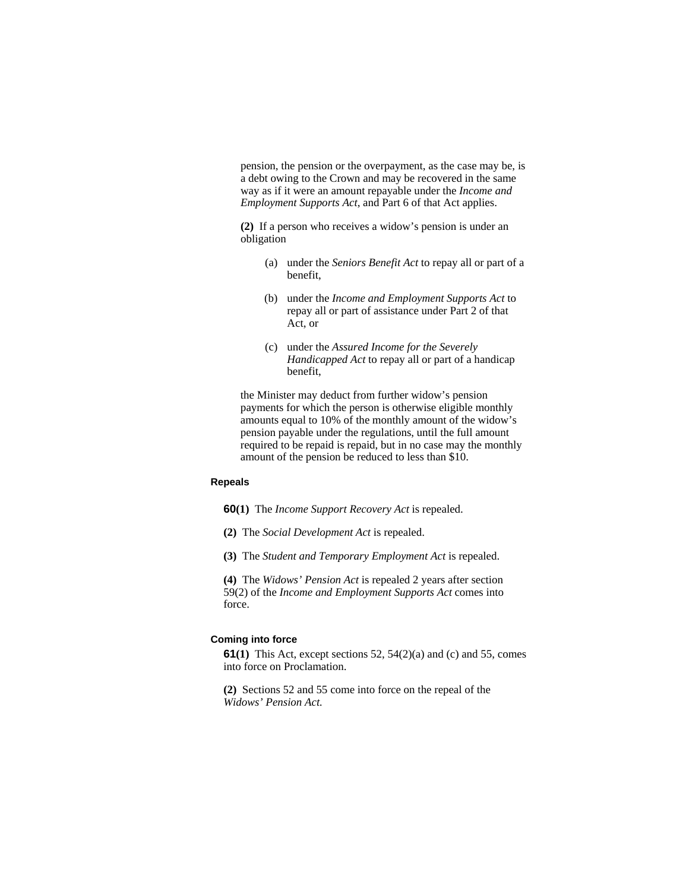pension, the pension or the overpayment, as the case may be, is a debt owing to the Crown and may be recovered in the same way as if it were an amount repayable under the *Income and Employment Supports Act*, and Part 6 of that Act applies.

**(2)** If a person who receives a widow's pension is under an obligation

- (a) under the *Seniors Benefit Act* to repay all or part of a benefit,
- (b) under the *Income and Employment Supports Act* to repay all or part of assistance under Part 2 of that Act, or
- (c) under the *Assured Income for the Severely Handicapped Act* to repay all or part of a handicap benefit,

the Minister may deduct from further widow's pension payments for which the person is otherwise eligible monthly amounts equal to 10% of the monthly amount of the widow's pension payable under the regulations, until the full amount required to be repaid is repaid, but in no case may the monthly amount of the pension be reduced to less than \$10.

## **Repeals**

**60(1)** The *Income Support Recovery Act* is repealed.

- **(2)** The *Social Development Act* is repealed.
- **(3)** The *Student and Temporary Employment Act* is repealed.

**(4)** The *Widows' Pension Act* is repealed 2 years after section 59(2) of the *Income and Employment Supports Act* comes into force.

#### **Coming into force**

**61(1)** This Act, except sections 52, 54(2)(a) and (c) and 55, comes into force on Proclamation.

**(2)** Sections 52 and 55 come into force on the repeal of the *Widows' Pension Act.*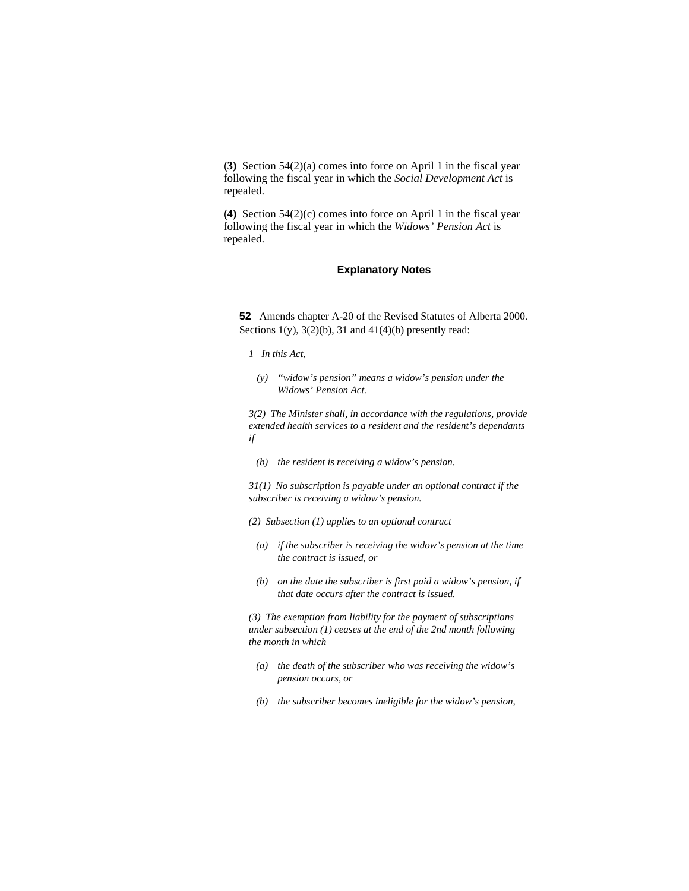**(3)** Section 54(2)(a) comes into force on April 1 in the fiscal year following the fiscal year in which the *Social Development Act* is repealed.

**(4)** Section 54(2)(c) comes into force on April 1 in the fiscal year following the fiscal year in which the *Widows' Pension Act* is repealed.

### **Explanatory Notes**

**52** Amends chapter A-20 of the Revised Statutes of Alberta 2000. Sections  $1(y)$ ,  $3(2)(b)$ ,  $31$  and  $41(4)(b)$  presently read:

- *1 In this Act,* 
	- *(y) "widow's pension" means a widow's pension under the Widows' Pension Act.*

*3(2) The Minister shall, in accordance with the regulations, provide extended health services to a resident and the resident's dependants if* 

 *(b) the resident is receiving a widow's pension.* 

*31(1) No subscription is payable under an optional contract if the subscriber is receiving a widow's pension.* 

- *(2) Subsection (1) applies to an optional contract*
- *(a) if the subscriber is receiving the widow's pension at the time the contract is issued, or*
- *(b) on the date the subscriber is first paid a widow's pension, if that date occurs after the contract is issued.*

*(3) The exemption from liability for the payment of subscriptions under subsection (1) ceases at the end of the 2nd month following the month in which* 

- *(a) the death of the subscriber who was receiving the widow's pension occurs, or*
- *(b) the subscriber becomes ineligible for the widow's pension,*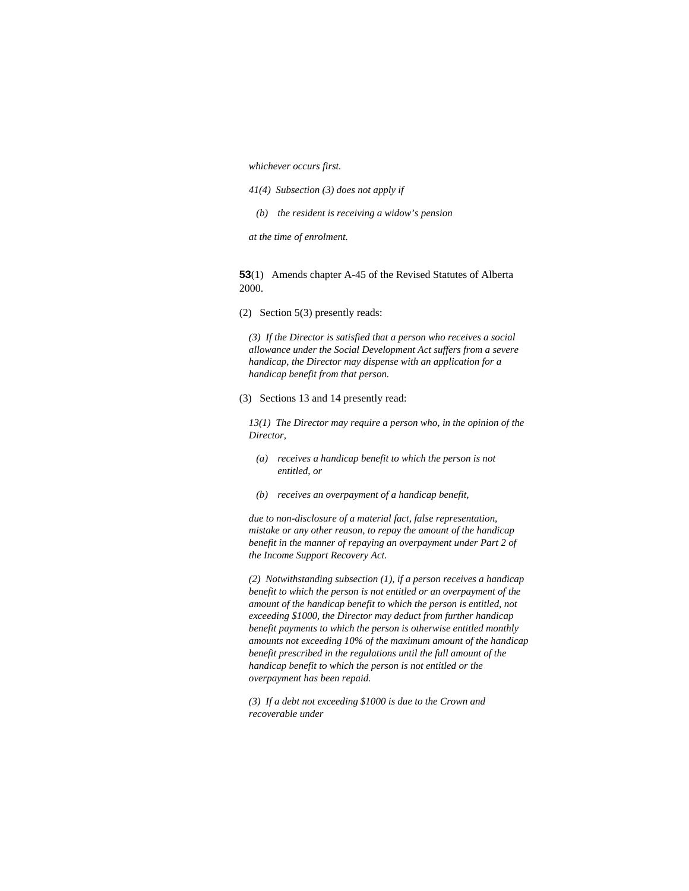*whichever occurs first.* 

- *41(4) Subsection (3) does not apply if*
- *(b) the resident is receiving a widow's pension*
- *at the time of enrolment.*

**53**(1) Amends chapter A-45 of the Revised Statutes of Alberta 2000.

(2) Section 5(3) presently reads:

*(3) If the Director is satisfied that a person who receives a social allowance under the Social Development Act suffers from a severe handicap, the Director may dispense with an application for a handicap benefit from that person.* 

(3) Sections 13 and 14 presently read:

*13(1) The Director may require a person who, in the opinion of the Director,* 

- *(a) receives a handicap benefit to which the person is not entitled, or*
- *(b) receives an overpayment of a handicap benefit,*

*due to non-disclosure of a material fact, false representation, mistake or any other reason, to repay the amount of the handicap benefit in the manner of repaying an overpayment under Part 2 of the Income Support Recovery Act.* 

*(2) Notwithstanding subsection (1), if a person receives a handicap benefit to which the person is not entitled or an overpayment of the amount of the handicap benefit to which the person is entitled, not exceeding \$1000, the Director may deduct from further handicap benefit payments to which the person is otherwise entitled monthly amounts not exceeding 10% of the maximum amount of the handicap benefit prescribed in the regulations until the full amount of the handicap benefit to which the person is not entitled or the overpayment has been repaid.* 

*(3) If a debt not exceeding \$1000 is due to the Crown and recoverable under*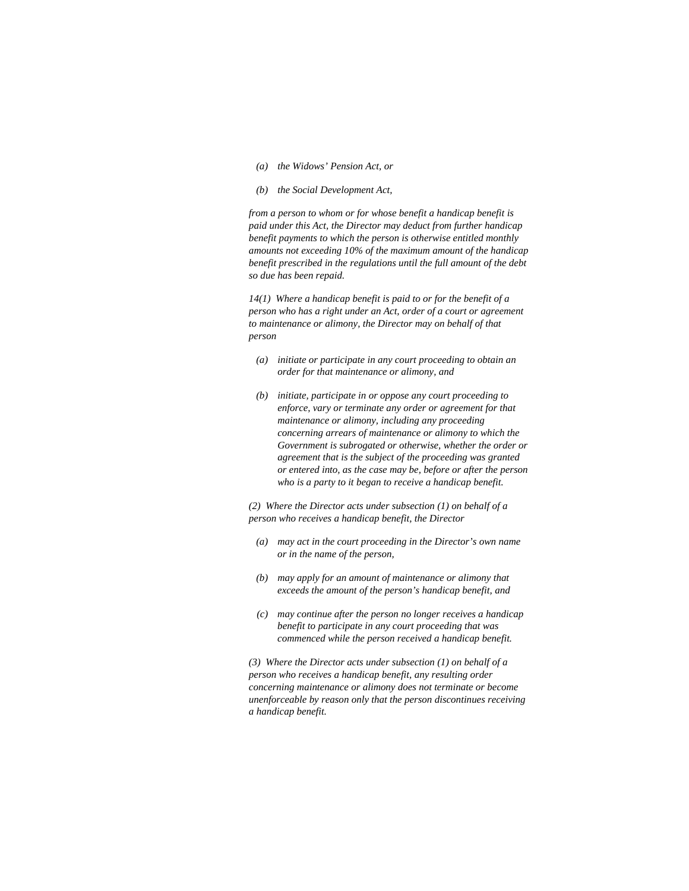- *(a) the Widows' Pension Act, or*
- *(b) the Social Development Act,*

*from a person to whom or for whose benefit a handicap benefit is paid under this Act, the Director may deduct from further handicap benefit payments to which the person is otherwise entitled monthly amounts not exceeding 10% of the maximum amount of the handicap benefit prescribed in the regulations until the full amount of the debt so due has been repaid.* 

*14(1) Where a handicap benefit is paid to or for the benefit of a person who has a right under an Act, order of a court or agreement to maintenance or alimony, the Director may on behalf of that person* 

- *(a) initiate or participate in any court proceeding to obtain an order for that maintenance or alimony, and*
- *(b) initiate, participate in or oppose any court proceeding to enforce, vary or terminate any order or agreement for that maintenance or alimony, including any proceeding concerning arrears of maintenance or alimony to which the Government is subrogated or otherwise, whether the order or agreement that is the subject of the proceeding was granted or entered into, as the case may be, before or after the person who is a party to it began to receive a handicap benefit.*

*(2) Where the Director acts under subsection (1) on behalf of a person who receives a handicap benefit, the Director* 

- *(a) may act in the court proceeding in the Director's own name or in the name of the person,*
- *(b) may apply for an amount of maintenance or alimony that exceeds the amount of the person's handicap benefit, and*
- *(c) may continue after the person no longer receives a handicap benefit to participate in any court proceeding that was commenced while the person received a handicap benefit.*

*(3) Where the Director acts under subsection (1) on behalf of a person who receives a handicap benefit, any resulting order concerning maintenance or alimony does not terminate or become unenforceable by reason only that the person discontinues receiving a handicap benefit.*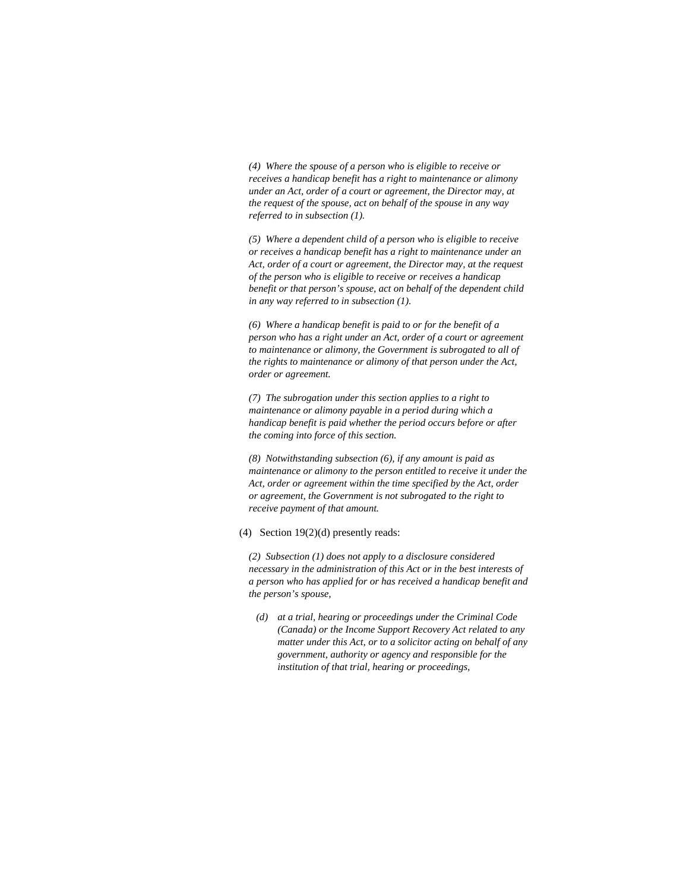*(4) Where the spouse of a person who is eligible to receive or receives a handicap benefit has a right to maintenance or alimony under an Act, order of a court or agreement, the Director may, at the request of the spouse, act on behalf of the spouse in any way referred to in subsection (1).* 

*(5) Where a dependent child of a person who is eligible to receive or receives a handicap benefit has a right to maintenance under an Act, order of a court or agreement, the Director may, at the request of the person who is eligible to receive or receives a handicap benefit or that person's spouse, act on behalf of the dependent child in any way referred to in subsection (1).* 

*(6) Where a handicap benefit is paid to or for the benefit of a person who has a right under an Act, order of a court or agreement to maintenance or alimony, the Government is subrogated to all of the rights to maintenance or alimony of that person under the Act, order or agreement.* 

*(7) The subrogation under this section applies to a right to maintenance or alimony payable in a period during which a handicap benefit is paid whether the period occurs before or after the coming into force of this section.* 

*(8) Notwithstanding subsection (6), if any amount is paid as maintenance or alimony to the person entitled to receive it under the Act, order or agreement within the time specified by the Act, order or agreement, the Government is not subrogated to the right to receive payment of that amount.* 

#### (4) Section 19(2)(d) presently reads:

*(2) Subsection (1) does not apply to a disclosure considered necessary in the administration of this Act or in the best interests of a person who has applied for or has received a handicap benefit and the person's spouse,* 

 *(d) at a trial, hearing or proceedings under the Criminal Code (Canada) or the Income Support Recovery Act related to any matter under this Act, or to a solicitor acting on behalf of any government, authority or agency and responsible for the institution of that trial, hearing or proceedings,*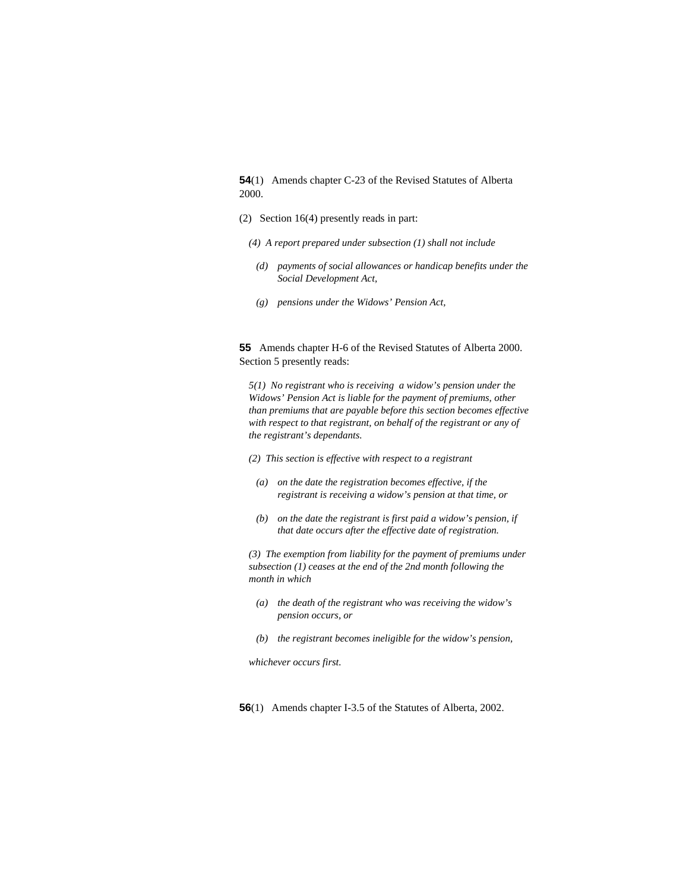**54**(1) Amends chapter C-23 of the Revised Statutes of Alberta 2000.

- (2) Section 16(4) presently reads in part:
	- *(4) A report prepared under subsection (1) shall not include*
	- *(d) payments of social allowances or handicap benefits under the Social Development Act,*
	- *(g) pensions under the Widows' Pension Act,*

**55** Amends chapter H-6 of the Revised Statutes of Alberta 2000. Section 5 presently reads:

*5(1) No registrant who is receiving a widow's pension under the Widows' Pension Act is liable for the payment of premiums, other than premiums that are payable before this section becomes effective with respect to that registrant, on behalf of the registrant or any of the registrant's dependants.* 

- *(2) This section is effective with respect to a registrant*
- *(a) on the date the registration becomes effective, if the registrant is receiving a widow's pension at that time, or*
- *(b) on the date the registrant is first paid a widow's pension, if that date occurs after the effective date of registration.*

*(3) The exemption from liability for the payment of premiums under subsection (1) ceases at the end of the 2nd month following the month in which* 

- *(a) the death of the registrant who was receiving the widow's pension occurs, or*
- *(b) the registrant becomes ineligible for the widow's pension,*

*whichever occurs first.* 

**56**(1) Amends chapter I-3.5 of the Statutes of Alberta, 2002.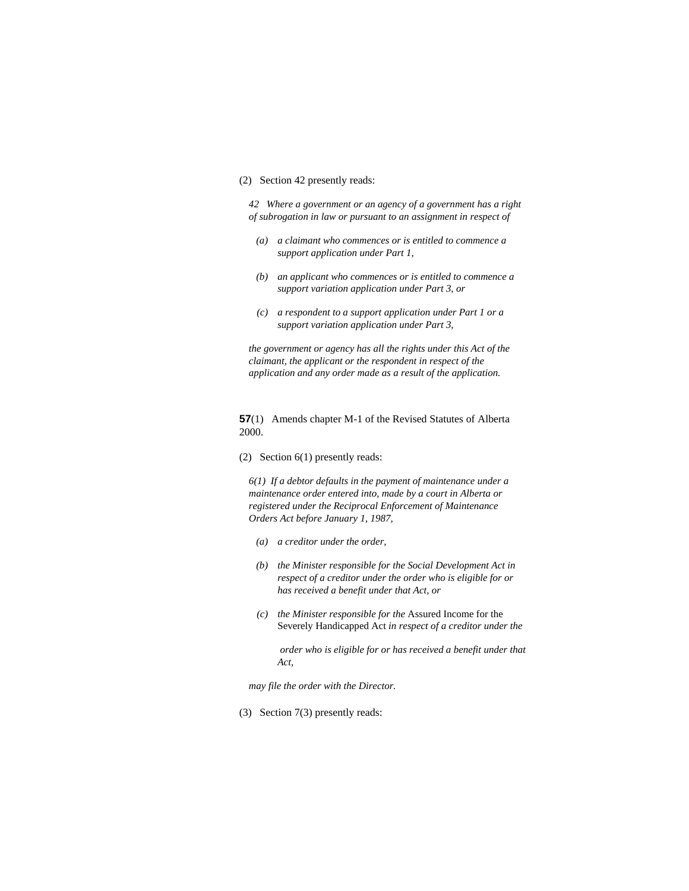#### (2) Section 42 presently reads:

*42 Where a government or an agency of a government has a right of subrogation in law or pursuant to an assignment in respect of* 

- *(a) a claimant who commences or is entitled to commence a support application under Part 1,*
- *(b) an applicant who commences or is entitled to commence a support variation application under Part 3, or*
- *(c) a respondent to a support application under Part 1 or a support variation application under Part 3,*

*the government or agency has all the rights under this Act of the claimant, the applicant or the respondent in respect of the application and any order made as a result of the application.* 

**57**(1) Amends chapter M-1 of the Revised Statutes of Alberta 2000.

(2) Section 6(1) presently reads:

*6(1) If a debtor defaults in the payment of maintenance under a maintenance order entered into, made by a court in Alberta or registered under the Reciprocal Enforcement of Maintenance Orders Act before January 1, 1987,* 

- *(a) a creditor under the order,*
- *(b) the Minister responsible for the Social Development Act in respect of a creditor under the order who is eligible for or has received a benefit under that Act, or*
- *(c) the Minister responsible for the* Assured Income for the Severely Handicapped Act *in respect of a creditor under the*

 *order who is eligible for or has received a benefit under that Act,* 

*may file the order with the Director.* 

(3) Section 7(3) presently reads: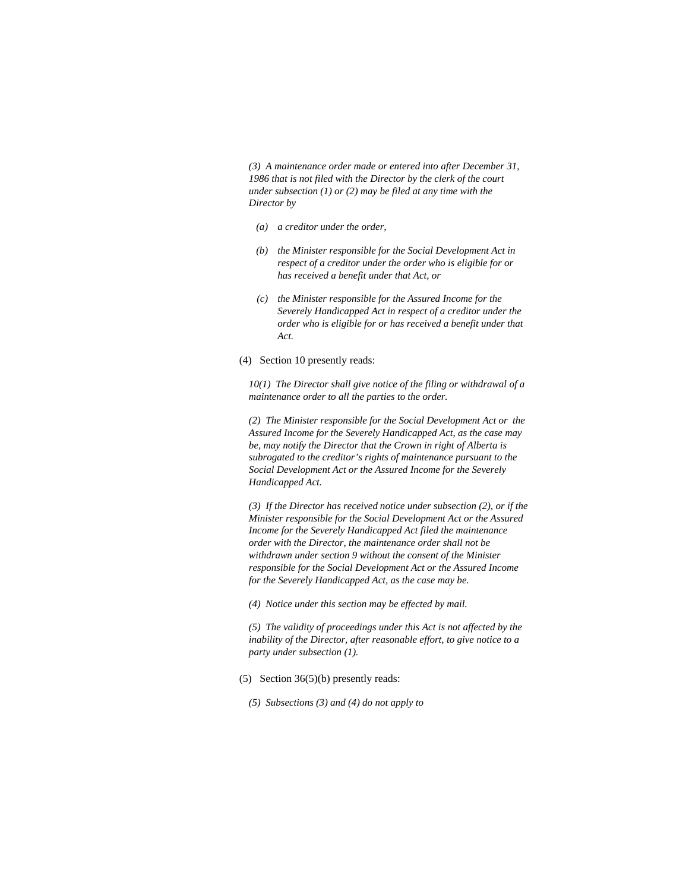*(3) A maintenance order made or entered into after December 31, 1986 that is not filed with the Director by the clerk of the court under subsection (1) or (2) may be filed at any time with the Director by* 

- *(a) a creditor under the order,*
- *(b) the Minister responsible for the Social Development Act in respect of a creditor under the order who is eligible for or has received a benefit under that Act, or*
- *(c) the Minister responsible for the Assured Income for the Severely Handicapped Act in respect of a creditor under the order who is eligible for or has received a benefit under that Act.*
- (4) Section 10 presently reads:

*10(1) The Director shall give notice of the filing or withdrawal of a maintenance order to all the parties to the order.* 

*(2) The Minister responsible for the Social Development Act or the Assured Income for the Severely Handicapped Act, as the case may be, may notify the Director that the Crown in right of Alberta is subrogated to the creditor's rights of maintenance pursuant to the Social Development Act or the Assured Income for the Severely Handicapped Act.* 

*(3) If the Director has received notice under subsection (2), or if the Minister responsible for the Social Development Act or the Assured Income for the Severely Handicapped Act filed the maintenance order with the Director, the maintenance order shall not be withdrawn under section 9 without the consent of the Minister responsible for the Social Development Act or the Assured Income for the Severely Handicapped Act, as the case may be.* 

*(4) Notice under this section may be effected by mail.* 

*(5) The validity of proceedings under this Act is not affected by the inability of the Director, after reasonable effort, to give notice to a party under subsection (1).* 

- (5) Section 36(5)(b) presently reads:
	- *(5) Subsections (3) and (4) do not apply to*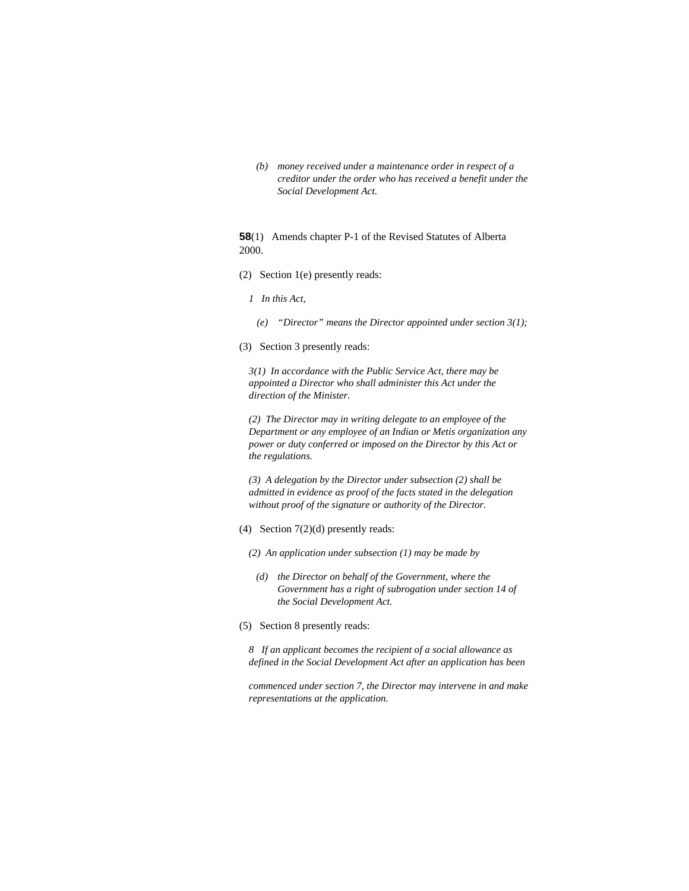*(b) money received under a maintenance order in respect of a creditor under the order who has received a benefit under the Social Development Act.* 

**58**(1) Amends chapter P-1 of the Revised Statutes of Alberta 2000.

(2) Section 1(e) presently reads:

*1 In this Act,* 

 *(e) "Director" means the Director appointed under section 3(1);* 

(3) Section 3 presently reads:

*3(1) In accordance with the Public Service Act, there may be appointed a Director who shall administer this Act under the direction of the Minister.* 

*(2) The Director may in writing delegate to an employee of the Department or any employee of an Indian or Metis organization any power or duty conferred or imposed on the Director by this Act or the regulations.* 

*(3) A delegation by the Director under subsection (2) shall be admitted in evidence as proof of the facts stated in the delegation without proof of the signature or authority of the Director.* 

(4) Section 7(2)(d) presently reads:

*(2) An application under subsection (1) may be made by* 

- *(d) the Director on behalf of the Government, where the Government has a right of subrogation under section 14 of the Social Development Act.*
- (5) Section 8 presently reads:

*8 If an applicant becomes the recipient of a social allowance as defined in the Social Development Act after an application has been* 

*commenced under section 7, the Director may intervene in and make representations at the application.*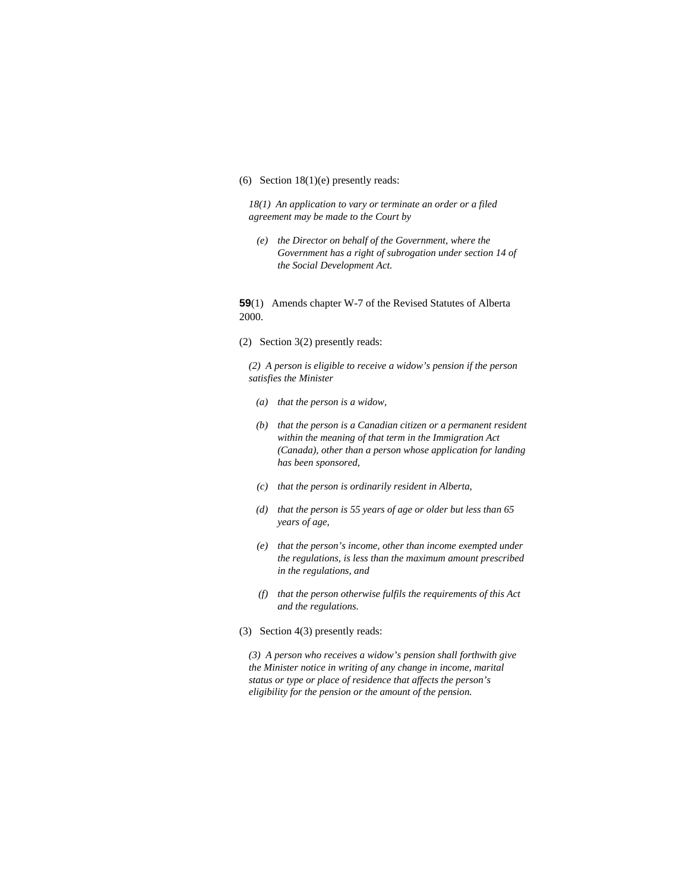### (6) Section 18(1)(e) presently reads:

*18(1) An application to vary or terminate an order or a filed agreement may be made to the Court by* 

 *(e) the Director on behalf of the Government, where the Government has a right of subrogation under section 14 of the Social Development Act.* 

**59**(1) Amends chapter W-7 of the Revised Statutes of Alberta 2000.

(2) Section 3(2) presently reads:

*(2) A person is eligible to receive a widow's pension if the person satisfies the Minister* 

- *(a) that the person is a widow,*
- *(b) that the person is a Canadian citizen or a permanent resident within the meaning of that term in the Immigration Act (Canada), other than a person whose application for landing has been sponsored,*
- *(c) that the person is ordinarily resident in Alberta,*
- *(d) that the person is 55 years of age or older but less than 65 years of age,*
- *(e) that the person's income, other than income exempted under the regulations, is less than the maximum amount prescribed in the regulations, and*
- *(f) that the person otherwise fulfils the requirements of this Act and the regulations.*
- (3) Section 4(3) presently reads:

*(3) A person who receives a widow's pension shall forthwith give the Minister notice in writing of any change in income, marital status or type or place of residence that affects the person's eligibility for the pension or the amount of the pension.*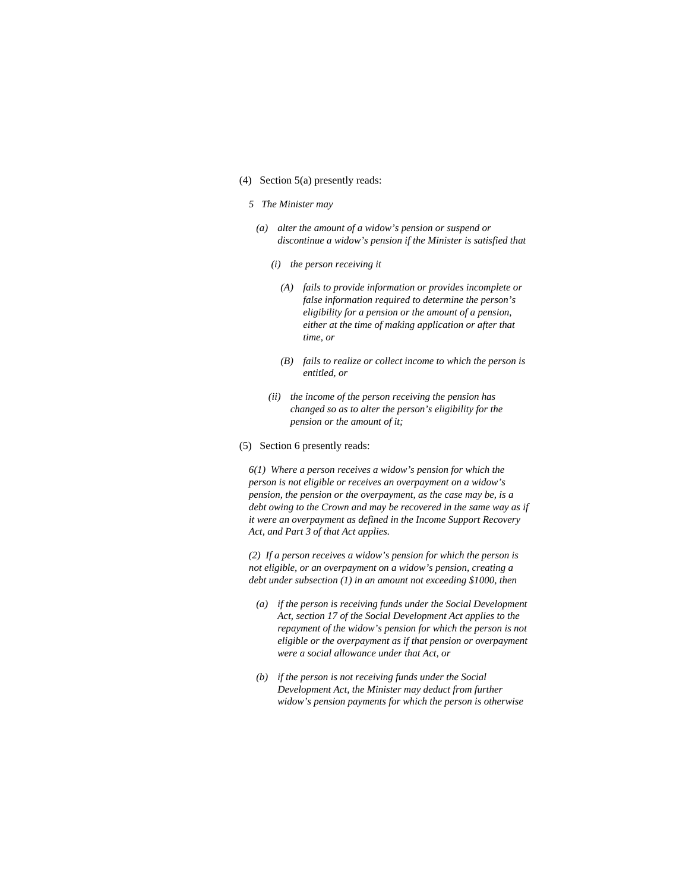### (4) Section 5(a) presently reads:

#### *5 The Minister may*

- *(a) alter the amount of a widow's pension or suspend or discontinue a widow's pension if the Minister is satisfied that* 
	- *(i) the person receiving it* 
		- *(A) fails to provide information or provides incomplete or false information required to determine the person's eligibility for a pension or the amount of a pension, either at the time of making application or after that time, or*
		- *(B) fails to realize or collect income to which the person is entitled, or*
	- *(ii) the income of the person receiving the pension has changed so as to alter the person's eligibility for the pension or the amount of it;*
- (5) Section 6 presently reads:

*6(1) Where a person receives a widow's pension for which the person is not eligible or receives an overpayment on a widow's pension, the pension or the overpayment, as the case may be, is a debt owing to the Crown and may be recovered in the same way as if it were an overpayment as defined in the Income Support Recovery Act, and Part 3 of that Act applies.* 

*(2) If a person receives a widow's pension for which the person is not eligible, or an overpayment on a widow's pension, creating a debt under subsection (1) in an amount not exceeding \$1000, then* 

- *(a) if the person is receiving funds under the Social Development Act, section 17 of the Social Development Act applies to the repayment of the widow's pension for which the person is not eligible or the overpayment as if that pension or overpayment were a social allowance under that Act, or*
- *(b) if the person is not receiving funds under the Social Development Act, the Minister may deduct from further widow's pension payments for which the person is otherwise*